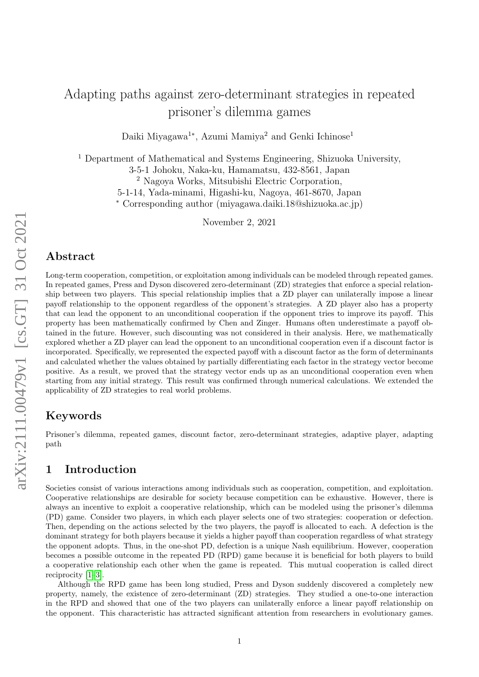# Adapting paths against zero-determinant strategies in repeated prisoner's dilemma games

Daiki Miyagawa<sup>1∗</sup>, Azumi Mamiya<sup>2</sup> and Genki Ichinose<sup>1</sup>

<sup>1</sup> Department of Mathematical and Systems Engineering, Shizuoka University,

3-5-1 Johoku, Naka-ku, Hamamatsu, 432-8561, Japan

<sup>2</sup> Nagoya Works, Mitsubishi Electric Corporation,

5-1-14, Yada-minami, Higashi-ku, Nagoya, 461-8670, Japan

<sup>∗</sup> Corresponding author (miyagawa.daiki.18@shizuoka.ac.jp)

November 2, 2021

## Abstract

Long-term cooperation, competition, or exploitation among individuals can be modeled through repeated games. In repeated games, Press and Dyson discovered zero-determinant (ZD) strategies that enforce a special relationship between two players. This special relationship implies that a ZD player can unilaterally impose a linear payoff relationship to the opponent regardless of the opponent's strategies. A ZD player also has a property that can lead the opponent to an unconditional cooperation if the opponent tries to improve its payoff. This property has been mathematically confirmed by Chen and Zinger. Humans often underestimate a payoff obtained in the future. However, such discounting was not considered in their analysis. Here, we mathematically explored whether a ZD player can lead the opponent to an unconditional cooperation even if a discount factor is incorporated. Specifically, we represented the expected payoff with a discount factor as the form of determinants and calculated whether the values obtained by partially differentiating each factor in the strategy vector become positive. As a result, we proved that the strategy vector ends up as an unconditional cooperation even when starting from any initial strategy. This result was confirmed through numerical calculations. We extended the applicability of ZD strategies to real world problems.

## Keywords

Prisoner's dilemma, repeated games, discount factor, zero-determinant strategies, adaptive player, adapting path

# 1 Introduction

Societies consist of various interactions among individuals such as cooperation, competition, and exploitation. Cooperative relationships are desirable for society because competition can be exhaustive. However, there is always an incentive to exploit a cooperative relationship, which can be modeled using the prisoner's dilemma (PD) game. Consider two players, in which each player selects one of two strategies: cooperation or defection. Then, depending on the actions selected by the two players, the payoff is allocated to each. A defection is the dominant strategy for both players because it yields a higher payoff than cooperation regardless of what strategy the opponent adopts. Thus, in the one-shot PD, defection is a unique Nash equilibrium. However, cooperation becomes a possible outcome in the repeated PD (RPD) game because it is beneficial for both players to build a cooperative relationship each other when the game is repeated. This mutual cooperation is called direct reciprocity [\[1–](#page-21-0)[3\]](#page-21-1).

Although the RPD game has been long studied, Press and Dyson suddenly discovered a completely new property, namely, the existence of zero-determinant (ZD) strategies. They studied a one-to-one interaction in the RPD and showed that one of the two players can unilaterally enforce a linear payoff relationship on the opponent. This characteristic has attracted significant attention from researchers in evolutionary games.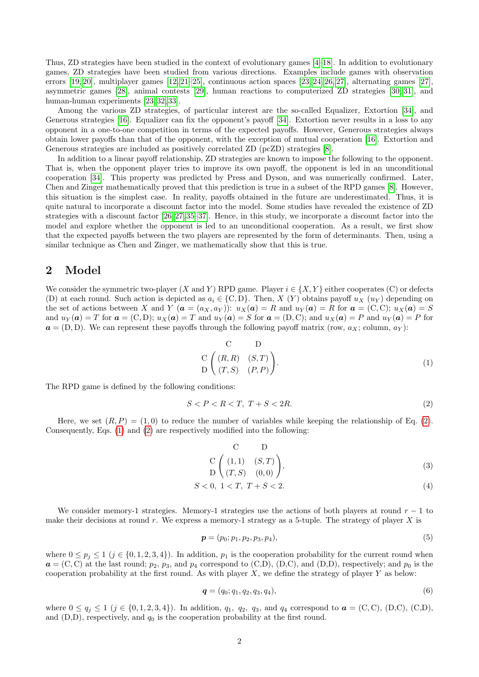Thus, ZD strategies have been studied in the context of evolutionary games [\[4–](#page-21-2)[18\]](#page-22-0). In addition to evolutionary games, ZD strategies have been studied from various directions. Examples include games with observation errors [\[19,](#page-22-1) [20\]](#page-22-2), multiplayer games [\[12,](#page-21-3) [21](#page-22-3)[–25\]](#page-22-4), continuous action spaces [\[23,](#page-22-5) [24,](#page-22-6) [26,](#page-22-7) [27\]](#page-22-8), alternating games [\[27\]](#page-22-8), asymmetric games [\[28\]](#page-22-9), animal contests [\[29\]](#page-22-10), human reactions to computerized ZD strategies [\[30,](#page-22-11) [31\]](#page-22-12), and human-human experiments [\[23,](#page-22-5) [32,](#page-22-13) [33\]](#page-22-14).

Among the various ZD strategies, of particular interest are the so-called Equalizer, Extortion [\[34\]](#page-22-15), and Generous strategies [\[16\]](#page-21-4). Equalizer can fix the opponent's payoff [\[34\]](#page-22-15). Extortion never results in a loss to any opponent in a one-to-one competition in terms of the expected payoffs. However, Generous strategies always obtain lower payoffs than that of the opponent, with the exception of mutual cooperation [\[16\]](#page-21-4). Extortion and Generous strategies are included as positively correlated ZD (pcZD) strategies [\[8\]](#page-21-5).

In addition to a linear payoff relationship, ZD strategies are known to impose the following to the opponent. That is, when the opponent player tries to improve its own payoff, the opponent is led in an unconditional cooperation [\[34\]](#page-22-15). This property was predicted by Press and Dyson, and was numerically confirmed. Later, Chen and Zinger mathematically proved that this prediction is true in a subset of the RPD games [\[8\]](#page-21-5). However, this situation is the simplest case. In reality, payoffs obtained in the future are underestimated. Thus, it is quite natural to incorporate a discount factor into the model. Some studies have revealed the existence of ZD strategies with a discount factor [\[26,](#page-22-7) [27,](#page-22-8) [35–](#page-22-16)[37\]](#page-22-17). Hence, in this study, we incorporate a discount factor into the model and explore whether the opponent is led to an unconditional cooperation. As a result, we first show that the expected payoffs between the two players are represented by the form of determinants. Then, using a similar technique as Chen and Zinger, we mathematically show that this is true.

### 2 Model

We consider the symmetric two-player (X and Y) RPD game. Player  $i \in \{X, Y\}$  either cooperates (C) or defects (D) at each round. Such action is depicted as  $a_i \in \{C, D\}$ . Then, X (Y) obtains payoff  $u_X(u_Y)$  depending on the set of actions between X and Y ( $\mathbf{a} = (a_X, a_Y)$ ):  $u_X(\mathbf{a}) = R$  and  $u_Y(\mathbf{a}) = R$  for  $\mathbf{a} = (C, C)$ ;  $u_X(\mathbf{a}) = S$ and  $u_Y(a) = T$  for  $a = (C, D);$   $u_X(a) = T$  and  $u_Y(a) = S$  for  $a = (D, C);$  and  $u_X(a) = P$  and  $u_Y(a) = P$  for  $\mathbf{a} = (D, D)$ . We can represent these payoffs through the following payoff matrix (row,  $a_X$ ; column,  $a_Y$ ):

<span id="page-1-1"></span>
$$
\begin{array}{ccc}\nC & D \\
C & (R, R) & (S, T) \\
D & (T, S) & (P, P)\n\end{array}
$$
\n(1)

The RPD game is defined by the following conditions:

$$
S < P < R < T, \ T + S < 2R. \tag{2}
$$

Here, we set  $(R, P) = (1, 0)$  to reduce the number of variables while keeping the relationship of Eq. [\(2\)](#page-1-0). Consequently, Eqs. [\(1\)](#page-1-1) and [\(2\)](#page-1-0) are respectively modified into the following:

<span id="page-1-0"></span>
$$
\begin{array}{ccc}\nC & D \\
C & (1,1) & (S,T) \\
D & (T, S) & (0,0)\n\end{array}
$$
\n(3)

$$
S < 0, \ 1 < T, \ T + S < 2. \tag{4}
$$

We consider memory-1 strategies. Memory-1 strategies use the actions of both players at round  $r - 1$  to make their decisions at round r. We express a memory-1 strategy as a 5-tuple. The strategy of player  $X$  is

$$
\boldsymbol{p} = (p_0; p_1, p_2, p_3, p_4),\tag{5}
$$

where  $0 \leq p_i \leq 1$   $(j \in \{0, 1, 2, 3, 4\})$ . In addition,  $p_1$  is the cooperation probability for the current round when  $a = (C, C)$  at the last round;  $p_2$ ,  $p_3$ , and  $p_4$  correspond to  $(C, D)$ ,  $(D, C)$ , and  $(D, D)$ , respectively; and  $p_0$  is the cooperation probability at the first round. As with player  $X$ , we define the strategy of player  $Y$  as below:

$$
\boldsymbol{q} = (q_0; q_1, q_2, q_3, q_4), \tag{6}
$$

where  $0 \le q_j \le 1$   $(j \in \{0, 1, 2, 3, 4\})$ . In addition,  $q_1$ ,  $q_2$ ,  $q_3$ , and  $q_4$  correspond to  $a = (C, C)$ ,  $(D, C)$ ,  $(C, D)$ , and  $(D,D)$ , respectively, and  $q_0$  is the cooperation probability at the first round.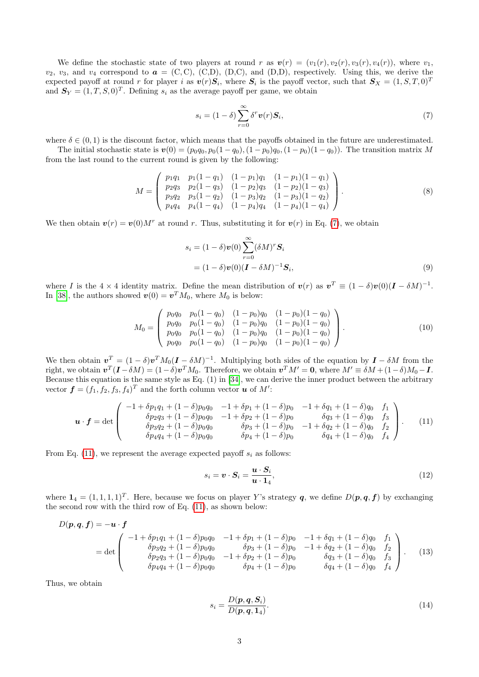We define the stochastic state of two players at round r as  $v(r) = (v_1(r), v_2(r), v_3(r), v_4(r))$ , where  $v_1$ ,  $v_2$ ,  $v_3$ , and  $v_4$  correspond to  $\boldsymbol{a} = (C, C), (C, D), (D, C),$  and  $(D, D)$ , respectively. Using this, we derive the expected payoff at round r for player i as  $\mathbf{v}(r)\mathbf{S}_i$ , where  $\mathbf{S}_i$  is the payoff vector, such that  $\mathbf{S}_X = (1, S, T, 0)^T$ and  $S_Y = (1, T, S, 0)^T$ . Defining  $s_i$  as the average payoff per game, we obtain

<span id="page-2-0"></span>
$$
s_i = (1 - \delta) \sum_{r=0}^{\infty} \delta^r \boldsymbol{v}(r) \boldsymbol{S}_i,
$$
\n<sup>(7)</sup>

where  $\delta \in (0, 1)$  is the discount factor, which means that the payoffs obtained in the future are underestimated.

The initial stochastic state is  $v(0) = (p_0q_0, p_0(1 - q_0), (1 - p_0)q_0, (1 - p_0)(1 - q_0))$ . The transition matrix M from the last round to the current round is given by the following:

$$
M = \begin{pmatrix} p_1 q_1 & p_1 (1 - q_1) & (1 - p_1) q_1 & (1 - p_1) (1 - q_1) \\ p_2 q_3 & p_2 (1 - q_3) & (1 - p_2) q_3 & (1 - p_2) (1 - q_3) \\ p_3 q_2 & p_3 (1 - q_2) & (1 - p_3) q_2 & (1 - p_3) (1 - q_2) \\ p_4 q_4 & p_4 (1 - q_4) & (1 - p_4) q_4 & (1 - p_4) (1 - q_4) \end{pmatrix}.
$$
 (8)

We then obtain  $\mathbf{v}(r) = \mathbf{v}(0)M^r$  at round r. Thus, substituting it for  $\mathbf{v}(r)$  in Eq. [\(7\)](#page-2-0), we obtain

$$
s_i = (1 - \delta)\boldsymbol{v}(0) \sum_{r=0}^{\infty} (\delta M)^r \mathbf{S}_i
$$
  
=  $(1 - \delta)\boldsymbol{v}(0)(\mathbf{I} - \delta M)^{-1}\mathbf{S}_i,$  (9)

where I is the  $4 \times 4$  identity matrix. Define the mean distribution of  $v(r)$  as  $v^T \equiv (1 - \delta)v(0)(I - \delta M)^{-1}$ . In [\[38\]](#page-22-18), the authors showed  $\mathbf{v}(0) = \mathbf{v}^T M_0$ , where  $M_0$  is below:

$$
M_0 = \begin{pmatrix} p_0 q_0 & p_0 (1 - q_0) & (1 - p_0) q_0 & (1 - p_0) (1 - q_0) \\ p_0 q_0 & p_0 (1 - q_0) & (1 - p_0) q_0 & (1 - p_0) (1 - q_0) \\ p_0 q_0 & p_0 (1 - q_0) & (1 - p_0) q_0 & (1 - p_0) (1 - q_0) \\ p_0 q_0 & p_0 (1 - q_0) & (1 - p_0) q_0 & (1 - p_0) (1 - q_0) \end{pmatrix}.
$$
 (10)

We then obtain  $v^T = (1 - \delta)v^T M_0(I - \delta M)^{-1}$ . Multiplying both sides of the equation by  $I - \delta M$  from the right, we obtain  $\mathbf{v}^T(\mathbf{I} - \delta M) = (1 - \delta)\mathbf{v}^T M_0$ . Therefore, we obtain  $\mathbf{v}^T M' = \mathbf{0}$ , where  $M' \equiv \delta M + (1 - \delta)M_0 - \mathbf{I}$ . Because this equation is the same style as Eq. (1) in [\[34\]](#page-22-15), we can derive the inner product between the arbitrary vector  $\boldsymbol{f} = (f_1, f_2, f_3, f_4)^T$  and the forth column vector  $\boldsymbol{u}$  of  $M'$ :

$$
\boldsymbol{u} \cdot \boldsymbol{f} = \det \begin{pmatrix} -1 + \delta p_1 q_1 + (1 - \delta) p_0 q_0 & -1 + \delta p_1 + (1 - \delta) p_0 & -1 + \delta q_1 + (1 - \delta) q_0 & f_1 \\ \delta p_2 q_3 + (1 - \delta) p_0 q_0 & -1 + \delta p_2 + (1 - \delta) p_0 & \delta q_3 + (1 - \delta) q_0 & f_3 \\ \delta p_3 q_2 + (1 - \delta) p_0 q_0 & \delta p_3 + (1 - \delta) p_0 & -1 + \delta q_2 + (1 - \delta) q_0 & f_2 \\ \delta p_4 q_4 + (1 - \delta) p_0 q_0 & \delta p_4 + (1 - \delta) p_0 & \delta q_4 + (1 - \delta) q_0 & f_4 \end{pmatrix} . \tag{11}
$$

From Eq. [\(11\)](#page-2-1), we represent the average expected payoff  $s_i$  as follows:

<span id="page-2-1"></span>
$$
s_i = \boldsymbol{v} \cdot \boldsymbol{S}_i = \frac{\boldsymbol{u} \cdot \boldsymbol{S}_i}{\boldsymbol{u} \cdot \boldsymbol{1}_4},\tag{12}
$$

where  $\mathbf{1}_4 = (1, 1, 1, 1)^T$ . Here, because we focus on player Y's strategy q, we define  $D(p, q, f)$  by exchanging the second row with the third row of Eq. [\(11\)](#page-2-1), as shown below:

$$
D(\mathbf{p}, \mathbf{q}, \mathbf{f}) = -\mathbf{u} \cdot \mathbf{f}
$$
  
= det 
$$
\begin{pmatrix} -1 + \delta p_1 q_1 + (1 - \delta) p_0 q_0 & -1 + \delta p_1 + (1 - \delta) p_0 & -1 + \delta q_1 + (1 - \delta) q_0 & f_1 \\ \delta p_3 q_2 + (1 - \delta) p_0 q_0 & \delta p_3 + (1 - \delta) p_0 & -1 + \delta q_2 + (1 - \delta) q_0 & f_2 \\ \delta p_2 q_3 + (1 - \delta) p_0 q_0 & -1 + \delta p_2 + (1 - \delta) p_0 & \delta q_3 + (1 - \delta) q_0 & f_3 \\ \delta p_4 q_4 + (1 - \delta) p_0 q_0 & \delta p_4 + (1 - \delta) p_0 & \delta q_4 + (1 - \delta) q_0 & f_4 \end{pmatrix}.
$$
 (13)

Thus, we obtain

<span id="page-2-2"></span>
$$
s_i = \frac{D(\mathbf{p}, \mathbf{q}, \mathbf{S}_i)}{D(\mathbf{p}, \mathbf{q}, \mathbf{1}_4)}.\tag{14}
$$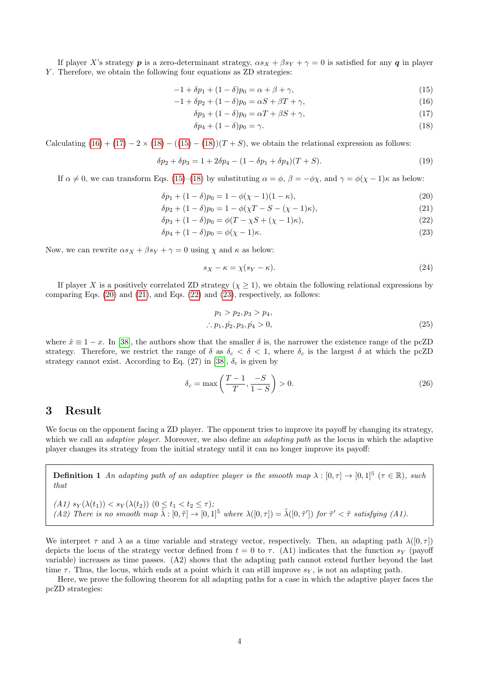If player X's strategy **p** is a zero-determinant strategy,  $\alpha s_X + \beta s_Y + \gamma = 0$  is satisfied for any **q** in player Y. Therefore, we obtain the following four equations as ZD strategies:

$$
-1 + \delta p_1 + (1 - \delta)p_0 = \alpha + \beta + \gamma,
$$
\n(15)

$$
-1 + \delta p_2 + (1 - \delta)p_0 = \alpha S + \beta T + \gamma,
$$
\n<sup>(16)</sup>

$$
\delta p_3 + (1 - \delta)p_0 = \alpha T + \beta S + \gamma,\tag{17}
$$

<span id="page-3-9"></span><span id="page-3-3"></span><span id="page-3-2"></span><span id="page-3-1"></span><span id="page-3-0"></span>
$$
\delta p_4 + (1 - \delta)p_0 = \gamma. \tag{18}
$$

Calculating  $(16) + (17) - 2 \times (18) - ((15) - (18))(T + S)$  $(16) + (17) - 2 \times (18) - ((15) - (18))(T + S)$  $(16) + (17) - 2 \times (18) - ((15) - (18))(T + S)$  $(16) + (17) - 2 \times (18) - ((15) - (18))(T + S)$  $(16) + (17) - 2 \times (18) - ((15) - (18))(T + S)$  $(16) + (17) - 2 \times (18) - ((15) - (18))(T + S)$  $(16) + (17) - 2 \times (18) - ((15) - (18))(T + S)$  $(16) + (17) - 2 \times (18) - ((15) - (18))(T + S)$ , we obtain the relational expression as follows:

$$
\delta p_2 + \delta p_3 = 1 + 2\delta p_4 - (1 - \delta p_1 + \delta p_4)(T + S). \tag{19}
$$

If  $\alpha \neq 0$ , we can transform Eqs. [\(15\)](#page-3-3)–[\(18\)](#page-3-2) by substituting  $\alpha = \phi$ ,  $\beta = -\phi\chi$ , and  $\gamma = \phi(\chi - 1)\kappa$  as below:

$$
\delta p_1 + (1 - \delta) p_0 = 1 - \phi(\chi - 1)(1 - \kappa),\tag{20}
$$

$$
\delta p_2 + (1 - \delta)p_0 = 1 - \phi(\chi T - S - (\chi - 1)\kappa),\tag{21}
$$

$$
\delta p_3 + (1 - \delta)p_0 = \phi(T - \chi S + (\chi - 1)\kappa),\tag{22}
$$

$$
\delta p_4 + (1 - \delta)p_0 = \phi(\chi - 1)\kappa. \tag{23}
$$

Now, we can rewrite  $\alpha s_X + \beta s_Y + \gamma = 0$  using  $\chi$  and  $\kappa$  as below:

<span id="page-3-7"></span><span id="page-3-6"></span><span id="page-3-5"></span><span id="page-3-4"></span>
$$
s_X - \kappa = \chi(s_Y - \kappa). \tag{24}
$$

If player X is a positively correlated ZD strategy  $(\chi \geq 1)$ , we obtain the following relational expressions by comparing Eqs.  $(20)$  and  $(21)$ , and Eqs.  $(22)$  and  $(23)$ , respectively, as follows:

$$
p_1 > p_2, p_3 > p_4,
$$
  
\n
$$
\therefore p_1, \hat{p_2}, p_3, \hat{p_4} > 0,
$$
\n(25)

where  $\hat{x} \equiv 1 - x$ . In [\[38\]](#page-22-18), the authors show that the smaller  $\delta$  is, the narrower the existence range of the pcZD strategy. Therefore, we restrict the range of  $\delta$  as  $\delta_c < \delta < 1$ , where  $\delta_c$  is the largest  $\delta$  at which the pcZD strategy cannot exist. According to Eq. (27) in [\[38\]](#page-22-18),  $\delta_c$  is given by

$$
\delta_c = \max\left(\frac{T-1}{T}, \frac{-S}{1-S}\right) > 0. \tag{26}
$$

#### 3 Result

We focus on the opponent facing a ZD player. The opponent tries to improve its payoff by changing its strategy, which we call an *adaptive player*. Moreover, we also define an *adapting path* as the locus in which the adaptive player changes its strategy from the initial strategy until it can no longer improve its payoff:

<span id="page-3-8"></span>**Definition 1** An adapting path of an adaptive player is the smooth map  $\lambda : [0, \tau] \to [0, 1]^5$  ( $\tau \in \mathbb{R}$ ), such that

(A1)  $s_Y(\lambda(t_1)) < s_Y(\lambda(t_2))$   $(0 \le t_1 < t_2 \le \tau);$ (A2) There is no smooth map  $\tilde{\lambda}: [0, \tilde{\tau}] \to [0, 1]^5$  where  $\lambda([0, \tau]) = \tilde{\lambda}([0, \tilde{\tau}'])$  for  $\tilde{\tau}' < \tilde{\tau}$  satisfying (A1).

We interpret  $\tau$  and  $\lambda$  as a time variable and strategy vector, respectively. Then, an adapting path  $\lambda([0, \tau])$ depicts the locus of the strategy vector defined from  $t = 0$  to  $\tau$ . (A1) indicates that the function s<sub>Y</sub> (payoff variable) increases as time passes. (A2) shows that the adapting path cannot extend further beyond the last time  $\tau$ . Thus, the locus, which ends at a point which it can still improve  $s_Y$ , is not an adapting path.

Here, we prove the following theorem for all adapting paths for a case in which the adaptive player faces the pcZD strategies: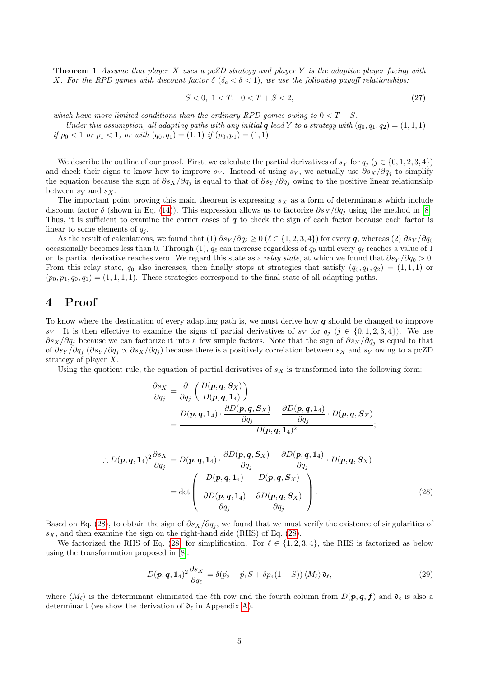**Theorem 1** Assume that player X uses a pcZD strategy and player Y is the adaptive player facing with X. For the RPD games with discount factor  $\delta$  ( $\delta_c < \delta < 1$ ), we use the following payoff relationships:

<span id="page-4-2"></span>
$$
S < 0, \ 1 < T, \ \ 0 < T + S < 2,\tag{27}
$$

which have more limited conditions than the ordinary RPD games owing to  $0 < T + S$ . Under this assumption, all adapting paths with any initial q lead Y to a strategy with  $(q_0, q_1, q_2) = (1, 1, 1)$ if  $p_0 < 1$  or  $p_1 < 1$ , or with  $(q_0, q_1) = (1, 1)$  if  $(p_0, p_1) = (1, 1)$ .

We describe the outline of our proof. First, we calculate the partial derivatives of  $s_Y$  for  $q_i$   $(j \in \{0, 1, 2, 3, 4\})$ and check their signs to know how to improve  $s_Y$ . Instead of using  $s_Y$ , we actually use  $\partial s_X/\partial q_i$  to simplify the equation because the sign of  $\partial s_X/\partial q_i$  is equal to that of  $\partial s_Y/\partial q_i$  owing to the positive linear relationship between  $s_Y$  and  $s_X$ .

The important point proving this main theorem is expressing  $s_X$  as a form of determinants which include discount factor  $\delta$  (shown in Eq. [\(14\)](#page-2-2)). This expression allows us to factorize  $\partial s_X/\partial q_i$  using the method in [\[8\]](#page-21-5). Thus, it is sufficient to examine the corner cases of  $q$  to check the sign of each factor because each factor is linear to some elements of  $q_i$ .

As the result of calculations, we found that (1)  $\partial s_Y / \partial q_\ell \geq 0$  ( $\ell \in \{1, 2, 3, 4\}$ ) for every q, whereas (2)  $\partial s_Y / \partial q_0$ occasionally becomes less than 0. Through (1),  $q_\ell$  can increase regardless of  $q_0$  until every  $q_\ell$  reaches a value of 1 or its partial derivative reaches zero. We regard this state as a *relay state*, at which we found that  $\partial s_Y / \partial q_0 > 0$ . From this relay state,  $q_0$  also increases, then finally stops at strategies that satisfy  $(q_0, q_1, q_2) = (1, 1, 1)$  or  $(p_0, p_1, q_0, q_1) = (1, 1, 1, 1)$ . These strategies correspond to the final state of all adapting paths.

### 4 Proof

To know where the destination of every adapting path is, we must derive how  $q$  should be changed to improve sy. It is then effective to examine the signs of partial derivatives of sy for  $q_i$  (j  $\in \{0, 1, 2, 3, 4\}$ ). We use  $\partial s_X/\partial q_i$  because we can factorize it into a few simple factors. Note that the sign of  $\partial s_X/\partial q_i$  is equal to that of  $\partial s_Y/\partial q_j$  ( $\partial s_Y/\partial q_j \propto \partial s_X/\partial q_j$ ) because there is a positively correlation between  $s_X$  and  $s_Y$  owing to a pcZD strategy of player X.

Using the quotient rule, the equation of partial derivatives of  $s<sub>X</sub>$  is transformed into the following form:

$$
\frac{\partial s_X}{\partial q_j} = \frac{\partial}{\partial q_j} \left( \frac{D(\boldsymbol{p}, \boldsymbol{q}, \boldsymbol{S}_X)}{D(\boldsymbol{p}, \boldsymbol{q}, \boldsymbol{1}_4)} \right)
$$
  
= 
$$
\frac{D(\boldsymbol{p}, \boldsymbol{q}, \boldsymbol{1}_4) \cdot \frac{\partial D(\boldsymbol{p}, \boldsymbol{q}, \boldsymbol{S}_X)}{\partial q_j} - \frac{\partial D(\boldsymbol{p}, \boldsymbol{q}, \boldsymbol{1}_4)}{\partial q_j} \cdot D(\boldsymbol{p}, \boldsymbol{q}, \boldsymbol{S}_X)}{D(\boldsymbol{p}, \boldsymbol{q}, \boldsymbol{1}_4)^2};
$$

$$
\therefore D(\mathbf{p}, \mathbf{q}, \mathbf{1}_4)^2 \frac{\partial s_X}{\partial q_j} = D(\mathbf{p}, \mathbf{q}, \mathbf{1}_4) \cdot \frac{\partial D(\mathbf{p}, \mathbf{q}, \mathbf{S}_X)}{\partial q_j} - \frac{\partial D(\mathbf{p}, \mathbf{q}, \mathbf{1}_4)}{\partial q_j} \cdot D(\mathbf{p}, \mathbf{q}, \mathbf{S}_X)
$$

$$
= \det \begin{pmatrix} D(\mathbf{p}, \mathbf{q}, \mathbf{1}_4) & D(\mathbf{p}, \mathbf{q}, \mathbf{S}_X) \\ \frac{\partial D(\mathbf{p}, \mathbf{q}, \mathbf{1}_4)}{\partial q_j} & \frac{\partial D(\mathbf{p}, \mathbf{q}, \mathbf{S}_X)}{\partial q_j} \end{pmatrix} .
$$
(28)

Based on Eq. [\(28\)](#page-4-0), to obtain the sign of  $\partial s_X/\partial q_i$ , we found that we must verify the existence of singularities of  $s_X$ , and then examine the sign on the right-hand side (RHS) of Eq. [\(28\)](#page-4-0).

We factorized the RHS of Eq. [\(28\)](#page-4-0) for simplification. For  $\ell \in \{1, 2, 3, 4\}$ , the RHS is factorized as below using the transformation proposed in [\[8\]](#page-21-5):

<span id="page-4-1"></span><span id="page-4-0"></span>
$$
D(\boldsymbol{p}, \boldsymbol{q}, \mathbf{1}_4)^2 \frac{\partial s_X}{\partial q_\ell} = \delta(\dot{p}_2 - \dot{p}_1 S + \delta p_4 (1 - S)) \langle M_\ell \rangle \mathfrak{d}_\ell,\tag{29}
$$

where  $\langle M_\ell \rangle$  is the determinant eliminated the  $\ell$ th row and the fourth column from  $D(p, q, f)$  and  $\mathfrak{d}_\ell$  is also a determinant (we show the derivation of  $\mathfrak{d}_{\ell}$  in Appendix [A\)](#page-14-0).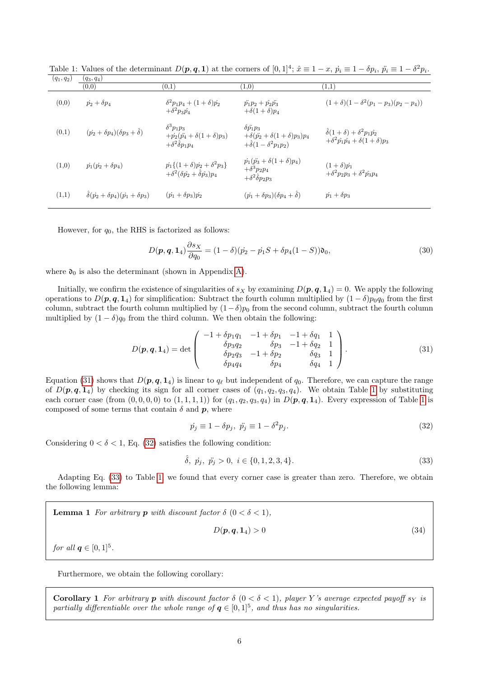| $(q_1, q_2)$ | $(q_3, q_4)$                                          |                                                                                                              |                                                                                                       |                                                                                                              |
|--------------|-------------------------------------------------------|--------------------------------------------------------------------------------------------------------------|-------------------------------------------------------------------------------------------------------|--------------------------------------------------------------------------------------------------------------|
|              | (0,0)                                                 | (0,1)                                                                                                        | (1,0)                                                                                                 | $\scriptstyle{(1,1)}$                                                                                        |
| (0,0)        | $\dot{p_2} + \delta p_4$                              | $\delta^2 p_1 p_4 + (1+\delta) p_2$<br>$+\delta^2 p_3 \hat{p_4}$                                             | $\ddot{p_1}p_2 + \hat{p_2}\ddot{p_3}$<br>$+\delta(1+\delta)p_4$                                       | $(1+\delta)(1-\delta^2(p_1-p_3)(p_2-p_4))$                                                                   |
| (0,1)        | $(\dot{p_2} + \delta p_4)(\delta p_3 + \hat{\delta})$ | $\delta^3 p_1 p_3$<br>$+p_2(p_4+\delta(1+\delta)p_3)$<br>$+\delta^2\hat{\delta}p_1p_4$                       | $\delta p_1 p_3$<br>$+\delta(\ddot{p_2}+\delta(1+\delta)p_3)p_4$<br>$+\hat{\delta}(1-\delta^2p_1p_2)$ | $\hat{\delta}(1+\delta) + \delta^2 p_1 \hat{p_2}$<br>$+\delta^2 \hat{p_1} \hat{p_4} + \delta (1+\delta) p_3$ |
| (1,0)        | $\dot{p_1}(p_2 + \delta p_4)$                         | $\dot{p_1}\{(1+\delta)\dot{p_2}+\delta^2p_3\}$<br>$+\delta^2(\delta \hat{p_2} + \hat{\delta} \hat{p_3}) p_4$ | $\dot{p_1}(\dot{p_3} + \delta(1+\delta)p_4)$<br>$+\delta^3 p_2 p_4$<br>$+\delta^2\hat{\delta}p_2p_3$  | $(1+\delta)\dot{p_1}$<br>$+\delta^2 p_2 p_3 + \delta^2 \hat{p_3} p_4$                                        |
| (1,1)        | $\hat{\delta}(p_2+\delta p_4)(p_1+\delta p_3)$        | $(p_1 + \delta p_3)p_2$                                                                                      | $(\dot{p_1} + \delta p_3)(\delta p_4 + \hat{\delta})$                                                 | $\dot{p_1} + \delta p_3$                                                                                     |

<span id="page-5-1"></span>Table 1: Values of the determinant  $D(p, q, 1)$  at the corners of  $[0, 1]^4$ ;  $\hat{x} \equiv 1 - x$ ,  $\dot{p}_i \equiv 1 - \delta p_i$ ,  $\ddot{p}_i \equiv 1 - \delta^2 p_i$ .

However, for  $q_0$ , the RHS is factorized as follows:

<span id="page-5-4"></span>
$$
D(\mathbf{p}, \mathbf{q}, \mathbf{1}_4) \frac{\partial s_X}{\partial q_0} = (1 - \delta)(\dot{p}_2 - \dot{p}_1 S + \delta p_4 (1 - S)) \mathfrak{d}_0,
$$
\n(30)

where  $\mathfrak{d}_0$  is also the determinant (shown in Appendix [A\)](#page-14-0).

Initially, we confirm the existence of singularities of  $s_X$  by examining  $D(p, q, 1<sub>4</sub>) = 0$ . We apply the following operations to  $D(p, q, 1_4)$  for simplification: Subtract the fourth column multiplied by  $(1 - \delta)p_0q_0$  from the first column, subtract the fourth column multiplied by  $(1-\delta)p_0$  from the second column, subtract the fourth column multiplied by  $(1 - \delta)q_0$  from the third column. We then obtain the following:

$$
D(\mathbf{p}, \mathbf{q}, \mathbf{1}_4) = \det \begin{pmatrix} -1 + \delta p_1 q_1 & -1 + \delta p_1 & -1 + \delta q_1 & 1 \\ \delta p_3 q_2 & \delta p_3 & -1 + \delta q_2 & 1 \\ \delta p_2 q_3 & -1 + \delta p_2 & \delta q_3 & 1 \\ \delta p_4 q_4 & \delta p_4 & \delta q_4 & 1 \end{pmatrix} . \tag{31}
$$

Equation [\(31\)](#page-5-0) shows that  $D(p, q, 1<sub>4</sub>)$  is linear to  $q_{\ell}$  but independent of  $q_0$ . Therefore, we can capture the range of  $D(p, q, 1_4)$  $D(p, q, 1_4)$  $D(p, q, 1_4)$  by checking its sign for all corner cases of  $(q_1, q_2, q_3, q_4)$ . We obtain Table 1 by substituting each corner case (from  $(0, 0, 0, 0)$  to  $(1, 1, 1, 1)$  $(1, 1, 1, 1)$  $(1, 1, 1, 1)$ ) for  $(q_1, q_2, q_3, q_4)$  in  $D(p, q, 1_4)$ . Every expression of Table 1 is composed of some terms that contain  $\delta$  and  $\mathbf{p}$ , where

<span id="page-5-3"></span><span id="page-5-2"></span><span id="page-5-0"></span>
$$
\dot{p}_j \equiv 1 - \delta p_j, \ \ddot{p}_j \equiv 1 - \delta^2 p_j. \tag{32}
$$

Considering  $0 < \delta < 1$ , Eq. [\(32\)](#page-5-2) satisfies the following condition:

<span id="page-5-5"></span>
$$
\hat{\delta}, \ \dot{p}_j, \ \ddot{p}_j > 0, \ i \in \{0, 1, 2, 3, 4\}. \tag{33}
$$

Adapting Eq. [\(33\)](#page-5-3) to Table [1,](#page-5-1) we found that every corner case is greater than zero. Therefore, we obtain the following lemma:

**Lemma 1** For arbitrary **p** with discount factor 
$$
\delta
$$
 ( $0 < \delta < 1$ ),  
\n
$$
D(p, q, 1_4) > 0
$$
\n(34) for all  $q \in [0, 1]^5$ .

Furthermore, we obtain the following corollary:

Corollary 1 For arbitrary p with discount factor  $\delta$  (0 <  $\delta$  < 1), player Y's average expected payoff s<sub>Y</sub> is partially differentiable over the whole range of  $q \in [0,1]^5$ , and thus has no singularities.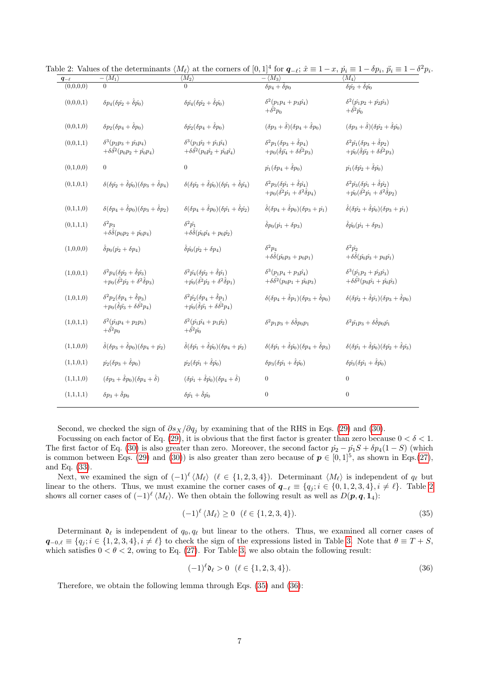<span id="page-6-0"></span>

| $q_{-\ell}$ | $-\langle M_1\rangle$                                                                                               | $\overline{\langle M_2 \rangle}$                                                                                                 | $-\langle M_3 \rangle$                                                                                              | $\langle M_4 \rangle$                                                                                                            |
|-------------|---------------------------------------------------------------------------------------------------------------------|----------------------------------------------------------------------------------------------------------------------------------|---------------------------------------------------------------------------------------------------------------------|----------------------------------------------------------------------------------------------------------------------------------|
| (0,0,0,0)   | $\Omega$                                                                                                            | $\overline{0}$                                                                                                                   | $\delta p_4 + \hat{\delta} p_0$                                                                                     | $\delta p_2 + \hat{\delta} p_0$                                                                                                  |
| (0,0,0,1)   | $\delta p_4(\delta \hat{p_2} + \hat{\delta} \hat{p_0})$                                                             | $\delta \hat{p_4} (\delta \hat{p_2} + \hat{\delta} \hat{p_0})$                                                                   | $\delta^2(p_1p_4+p_3p_4)$<br>$+\delta^2 p_0$                                                                        | $\delta^2(\hat{p_1}p_2+\hat{p_2}p_3)$<br>$+\hat{\delta^2 p_0}$                                                                   |
| (0,0,1,0)   | $\delta p_2(\delta p_4+\delta p_0)$                                                                                 | $\delta \hat{p_2} (\delta p_4 + \delta p_0)$                                                                                     | $(\delta p_3 + \hat{\delta})(\delta p_4 + \hat{\delta} p_0)$                                                        | $(\delta p_3 + \hat{\delta})(\delta \hat{p_2} + \hat{\delta} \hat{p_0})$                                                         |
| (0,0,1,1)   | $\delta^3(p_2p_3+\hat{p_3}p_4)$<br>$+\delta\delta^2(p_0p_2+\hat{p_0}p_4)$                                           | $\delta^3(p_1\hat{p_2} + \hat{p_1}\hat{p_4})$<br>$+\delta\hat{\delta}^2(p_0\hat{p_2}+\hat{p_0}\hat{p_4})$                        | $\delta^2 p_1(\delta p_3 + \hat{\delta} p_4)$<br>$+p_0(\hat{\delta}\ddot{p_4}+\delta\hat{\delta^2}p_3)$             | $\delta^2 \hat{p_1} (\delta p_3 + \hat{\delta} p_2)$<br>$+\hat{p_0}(\hat{\delta}\ddot{p_2}+\delta\hat{\delta^2}p_3)$             |
| (0,1,0,0)   | $\boldsymbol{0}$                                                                                                    | $\overline{0}$                                                                                                                   | $p_1(\delta p_4 + \delta p_0)$                                                                                      | $\dot{p_1}(\delta \hat{p_2} + \delta \hat{p_0})$                                                                                 |
| (0,1,0,1)   | $\delta(\delta \hat{p_2} + \hat{\delta} \hat{p_0})(\delta p_3 + \hat{\delta} p_4)$                                  | $\delta(\delta \hat{p_2} + \hat{\delta} \hat{p_0})(\delta \hat{p_1} + \hat{\delta} \hat{p_4})$                                   | $\delta^2 p_3(\delta \hat{p_1} + \hat{\delta} \hat{p_4})$<br>$+p_0(\hat{\delta}^2 p_1 + \delta^2 \hat{\delta} p_4)$ | $\delta^2 \hat{p_3} (\delta \hat{p_1} + \hat{\delta} \hat{p_2})$<br>$+\hat{p_0}(\hat{\delta^2 p_1} + \delta^2 \hat{\delta} p_2)$ |
| (0,1,1,0)   | $\delta(\delta p_4 + \hat{\delta} p_0)(\delta p_3 + \hat{\delta} p_2)$                                              | $\delta(\delta p_4 + \hat{\delta} p_0)(\delta \hat{p_1} + \hat{\delta} \hat{p_2})$                                               | $\hat{\delta}(\delta p_4 + \hat{\delta} p_0)(\delta p_3 + p_1)$                                                     | $\hat{\delta}(\delta \hat{p_2} + \hat{\delta} \hat{p_0})(\delta p_3 + \hat{p_1})$                                                |
| (0,1,1,1)   | $\delta^2 p_3$<br>$+\delta\delta(p_0p_2+\hat{p_0}p_4)$                                                              | $\delta^2 \hat{p_1}$<br>$+\delta\hat{\delta}(p_{0}\hat{p_{4}}+p_{0}\hat{p_{2}})$                                                 | $\hat{\delta} p_0 (\dot{p_1} + \delta p_3)$                                                                         | $\hat{\delta}\hat{p_0}(\vec{p_1}+\delta p_3)$                                                                                    |
| (1,0,0,0)   | $\hat{\delta}p_0(\dot{p_2}+\delta p_4)$                                                                             | $\hat{\delta}\hat{p_0}(\vec{p_2}+\delta p_4)$                                                                                    | $\delta^2 p_4$<br>$+\delta\hat{\delta}(p_0p_3+p_0p_1)$                                                              | $\delta^2 \hat{p_2}$<br>$+\delta\hat{\delta}(\hat{p_0}\hat{p_3}+p_0\hat{p_1})$                                                   |
| (1,0,0,1)   | $\delta^2 p_4(\delta \hat{p_2} + \hat{\delta} \hat{p_3})$<br>$+p_0(\hat{\delta^2 p_2} + \delta^2 \hat{\delta} p_3)$ | $\delta^2 \hat{p_4} (\delta \hat{p_2} + \hat{\delta} \hat{p_1})$<br>$+\hat{p_0}(\hat{\delta^2 p_2} + \delta^2 \hat{\delta} p_1)$ | $\delta^3(p_1p_4+p_3p_4)$<br>$+\delta\delta^2(p_0p_1+\hat{p_0}p_3)$                                                 | $\delta^3(\hat{p_1}p_2+\hat{p_2}\hat{p_3})$<br>$+\delta \hat{\delta}^2 (p_0 \hat{p_1} + \hat{p_0} \hat{p_3})$                    |
| (1,0,1,0)   | $\delta^2 p_2(\delta p_4 + \hat{\delta} p_3)$<br>$+p_0(\hat{\delta}\ddot{p_3}+\delta\hat{\delta^2}p_4)$             | $\delta^2 \hat{p_2} (\delta p_4 + \hat{\delta} p_1)$<br>$+\hat{p_0}(\hat{\delta}\ddot{p_1}+\delta\hat{\delta^2}p_4)$             | $\delta(\delta p_4 + \hat{\delta} p_1)(\delta p_3 + \hat{\delta} p_0)$                                              | $\delta(\delta \hat{p_2} + \hat{\delta} \hat{p_1})(\delta p_3 + \hat{\delta} p_0)$                                               |
| (1,0,1,1)   | $\delta^2(\hat{p_3}p_4+p_2p_3)$<br>$+\delta^2 p_0$                                                                  | $\delta^2(\hat{p_1}\hat{p_4}+p_1\hat{p_2})$<br>$+\delta^2 p_0$                                                                   | $\delta^2 p_1 p_3 + \delta \hat{\delta} p_0 p_1$                                                                    | $\delta^2 \hat{p_1} p_3 + \delta \hat{\delta} p_0 \hat{p_1}$                                                                     |
| (1,1,0,0)   | $\hat{\delta}(\delta p_3 + \hat{\delta} p_0)(\delta p_4 + p_2)$                                                     | $\hat{\delta}(\delta \hat{p_1} + \hat{\delta} \hat{p_0})(\delta p_4 + p_2)$                                                      | $\delta(\delta \hat{p_1} + \hat{\delta} \hat{p_0})(\delta p_4 + \hat{\delta} p_3)$                                  | $\delta(\delta \hat{p_1} + \hat{\delta} \hat{p_0})(\delta \hat{p_2} + \hat{\delta} \hat{p_3})$                                   |
| (1,1,0,1)   | $\dot{p_2}(\delta p_3 + \hat{\delta} p_0)$                                                                          | $\dot{p_2}(\delta \hat{p_1} + \hat{\delta} \hat{p_0})$                                                                           | $\delta p_3(\delta \hat{p_1} + \hat{\delta} \hat{p_0})$                                                             | $\delta \hat{p_3} (\delta \hat{p_1} + \hat{\delta} \hat{p_0})$                                                                   |
| (1,1,1,0)   | $(\delta p_3 + \hat{\delta} p_0)(\delta p_4 + \hat{\delta})$                                                        | $(\delta \hat{p_1} + \hat{\delta} \hat{p_0}) (\delta p_4 + \hat{\delta})$                                                        | $\boldsymbol{0}$                                                                                                    | $\boldsymbol{0}$                                                                                                                 |
| (1,1,1,1)   | $\delta p_3 + \hat{\delta} p_0$                                                                                     | $\delta \hat{p_1} + \hat{\delta} \hat{p_0}$                                                                                      | $\boldsymbol{0}$                                                                                                    | $\theta$                                                                                                                         |
|             |                                                                                                                     |                                                                                                                                  |                                                                                                                     |                                                                                                                                  |

Table 2: Values of the determinants  $\langle M_\ell \rangle$  at the corners of  $[0, 1]^4$  for  $\mathbf{q}_{-\ell}$ ;  $\hat{x} \equiv 1 - x$ ,  $\dot{p}_i \equiv 1 - \delta p_i$ ,  $\ddot{p}_i \equiv 1 - \delta^2 p_i$ .

Second, we checked the sign of  $\partial s_X/\partial q_j$  by examining that of the RHS in Eqs. [\(29\)](#page-4-1) and [\(30\)](#page-5-4).

Focussing on each factor of Eq. [\(29\)](#page-4-1), it is obvious that the first factor is greater than zero because  $0 < \delta < 1$ . The first factor of Eq. [\(30\)](#page-5-4) is also greater than zero. Moreover, the second factor  $\dot{p}_2 - \dot{p}_1S + \delta p_4(1-S)$  (which is common between Eqs. [\(29\)](#page-4-1) and [\(30\)](#page-5-4)) is also greater than zero because of  $p \in [0,1]^5$ , as shown in Eqs.[\(27\)](#page-4-2), and Eq. [\(33\)](#page-5-3).

Next, we examined the sign of  $(-1)^{\ell} \langle M_{\ell} \rangle$   $(\ell \in \{1, 2, 3, 4\})$ . Determinant  $\langle M_{\ell} \rangle$  is independent of  $q_{\ell}$  but linear to the others. Thus, we must examine the corner cases of  $q_{-\ell} \equiv \{q_j ; i \in \{0, 1, 2, 3, 4\}, i \neq \ell\}.$  $q_{-\ell} \equiv \{q_j ; i \in \{0, 1, 2, 3, 4\}, i \neq \ell\}.$  $q_{-\ell} \equiv \{q_j ; i \in \{0, 1, 2, 3, 4\}, i \neq \ell\}.$  Table 2 shows all corner cases of  $(-1)^{\ell} \langle M_{\ell} \rangle$ . We then obtain the following result as well as  $D(p, q, 1<sub>4</sub>)$ :

<span id="page-6-1"></span>
$$
(-1)^{\ell} \langle M_{\ell} \rangle \ge 0 \quad (\ell \in \{1, 2, 3, 4\}). \tag{35}
$$

Determinant  $\mathfrak{d}_{\ell}$  is independent of  $q_0, q_{\ell}$  but linear to the others. Thus, we examined all corner cases of  $q_{-0,\ell} \equiv \{q_j ; i \in \{1, 2, 3, 4\}, i \neq \ell\}$  to check the sign of the expressions listed in Table [3.](#page-7-0) Note that  $\theta \equiv T + S$ , which satisfies  $0 < \theta < 2$ , owing to Eq. [\(27\)](#page-4-2). For Table [3,](#page-7-0) we also obtain the following result:

<span id="page-6-2"></span>
$$
(-1)^{\ell} \mathfrak{d}_{\ell} > 0 \quad (\ell \in \{1, 2, 3, 4\}).
$$
\n(36)

Therefore, we obtain the following lemma through Eqs. [\(35\)](#page-6-1) and [\(36\)](#page-6-2):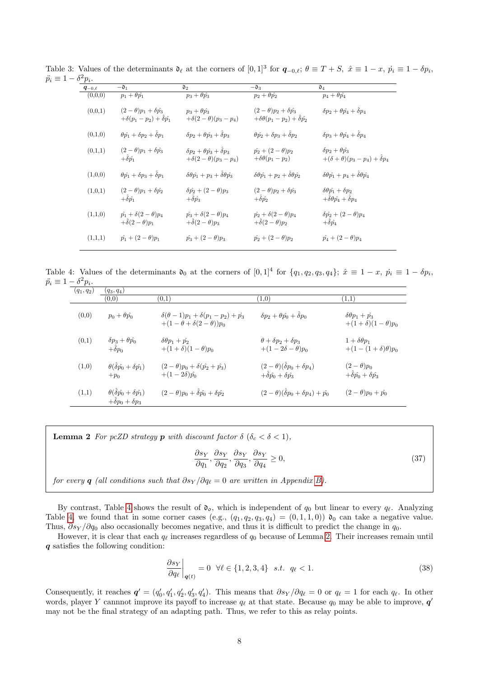<span id="page-7-0"></span>

| $ \sigma$ - $p_i$ . |                                                                             |                                                                        |                                                                                     |                                                                                        |
|---------------------|-----------------------------------------------------------------------------|------------------------------------------------------------------------|-------------------------------------------------------------------------------------|----------------------------------------------------------------------------------------|
| $\bm{q}_{-0,\ell}$  | $-{\mathfrak d}_1$                                                          | $\mathfrak{d}_2$                                                       | $-{\mathfrak d}_3$                                                                  | $\mathfrak{d}_4$                                                                       |
| (0.0.0)             | $p_1 + \theta \hat{p_1}$                                                    | $p_3+\theta p_3$                                                       | $p_2+\theta p_2$                                                                    | $p_4+\theta \hat{p_4}$                                                                 |
| (0,0,1)             | $(2-\theta)p_1+\delta\hat{p_3}$<br>$+\delta(p_1-p_2)+\hat{\delta}\hat{p_1}$ | $p_3+\theta p_3$<br>$+\delta(2-\theta)(p_3-p_4)$                       | $(2-\theta)p_2+\delta \hat{p_3}$<br>$+\delta\theta(p_1-p_2)+\ddot{\delta}\hat{p_2}$ | $\delta p_2 + \theta p_4 + \delta p_4$                                                 |
| (0,1,0)             | $\theta \hat{p_1} + \delta p_2 + \delta p_1$                                | $\delta p_2 + \theta p_3 + \delta p_3$                                 | $\theta \hat{p_2} + \delta p_3 + \delta p_2$                                        | $\delta p_3 + \theta p_4 + \delta p_4$                                                 |
| (0,1,1)             | $(2-\theta)p_1+\delta p_3$<br>$+\delta \hat{v_1}$                           | $\delta p_2 + \theta p_3 + \delta p_3$<br>$+\delta(2-\theta)(p_3-p_4)$ | $\hat{p_2} + (2 - \theta)p_2$<br>$+\delta\theta(p_1-p_2)$                           | $\delta p_2 + \theta p_3$<br>$+(\delta + \theta)(p_3 - p_4) + \delta p_4$              |
| (1,0,0)             | $\theta \hat{p_1} + \delta p_3 + \delta p_1$                                | $\delta\theta\hat{p_1} + p_3 + \delta\theta\hat{p_3}$                  | $\delta\theta\hat{p_1} + p_2 + \delta\theta\hat{p_2}$                               | $\delta\theta\hat{p_1} + p_4 + \delta\theta\hat{p_4}$                                  |
| (1,0,1)             | $(2-\theta)p_1+\delta p_2$<br>$+\hat{\delta}\hat{p_1}$                      | $\delta \hat{p_2} + (2-\theta)p_3$<br>$+\hat{\delta}\hat{p_3}$         | $(2-\theta)p_2+\delta \hat{p_3}$<br>$+\hat{\delta}\hat{p_2}$                        | $\delta\theta\hat{p_1} + \delta p_2$<br>$+\hat{\delta}\theta\hat{p_4}+\hat{\delta}p_4$ |
| (1,1,0)             | $\hat{p_1} + \delta(2-\theta)p_4$<br>$+\hat{\delta}(2-\theta)p_1$           | $\hat{p_3} + \delta(2-\theta)p_4$<br>$+\hat{\delta}(2-\theta)p_3$      | $\hat{p_2} + \delta(2-\theta)p_4$<br>$+\delta(2-\theta)p_2$                         | $\delta \hat{p_2} + (2-\theta) p_4$<br>$+\delta \hat{p_4}$                             |
| (1,1,1)             | $\hat{p_1} + (2 - \theta)p_1$                                               | $\hat{p_3} + (2 - \theta)p_3$                                          | $\hat{p_2} + (2 - \theta)p_2$                                                       | $\hat{p_4} + (2 - \theta)p_4$                                                          |
|                     |                                                                             |                                                                        |                                                                                     |                                                                                        |

Table 3: Values of the determinants  $\mathfrak{d}_{\ell}$  at the corners of  $[0, 1]^3$  for  $q_{-0,\ell}$ ;  $\theta \equiv T + S$ ,  $\hat{x} \equiv 1 - x$ ,  $\dot{p}_i \equiv 1 - \delta p_i$ ,  $\ddot{p_i} \equiv 1$  $^{2}p_{i}$ .

Table 4: Values of the determinants  $\mathfrak{d}_0$  at the corners of  $[0,1]^4$  for  $\{q_1, q_2, q_3, q_4\}; \hat{x} \equiv 1 - x, \hat{p}_i \equiv 1 - \delta p_i$  $\ddot{p_i} \equiv 1 - \delta^2 p_i.$ 

<span id="page-7-1"></span>

| $(q_1, q_2)$ | $(q_3, q_4)$                                                                |                                                                                    |                                                                                      |                                                             |
|--------------|-----------------------------------------------------------------------------|------------------------------------------------------------------------------------|--------------------------------------------------------------------------------------|-------------------------------------------------------------|
|              | (0.0)                                                                       | (0,1)                                                                              | (1,0)                                                                                | (1,1)                                                       |
| (0,0)        | $p_0 + \theta \hat{p_0}$                                                    | $\delta(\theta-1)p_1 + \delta(p_1-p_2) + p_3$<br>$+(1-\theta+\delta(2-\theta))p_0$ | $\delta p_2 + \theta p_0 + \delta p_0$                                               | $\delta \theta p_1 + p_3$<br>$+(1+\delta)(1-\theta)p_0$     |
| (0,1)        | $\delta p_3 + \theta \hat{p_0}$<br>$+\hat{\delta}p_0$                       | $\delta\theta p_1 + p_2$<br>$+(1+\delta)(1-\theta)p_0$                             | $\theta + \delta p_2 + \delta p_3$<br>$+(1-2\delta-\theta)p_0$                       | $1 + \delta \theta p_1$<br>$+(1-(1+\delta)\theta)p_0$       |
| (1,0)        | $\theta(\hat{\delta}\hat{p_0}+\delta\hat{p_1})$<br>$+p_0$                   | $(2 - \theta)p_0 + \delta(\hat{p_2} + \hat{p_3})$<br>$+(1-2\delta)\hat{p_0}$       | $(2-\theta)(\hat{\delta}p_0+\delta p_4)$<br>$+\hat{\delta}\hat{p_0}+\delta\hat{p_3}$ | $(2-\theta)p_0$<br>$+\hat{\delta}\hat{p_0}+\delta\hat{p_3}$ |
| (1,1)        | $\theta(\delta \hat{p}_0 + \delta \hat{p}_1)$<br>$+\delta p_0 + \delta p_3$ | $(2 - \theta)p_0 + \hat{\delta}\hat{p_0} + \delta\hat{p_2}$                        | $(2 - \theta)(\hat{\delta}p_0 + \delta p_4) + \hat{p_0}$                             | $(2 - \theta)p_0 + \hat{p_0}$                               |

**Lemma 2** For pcZD strategy **p** with discount factor  $\delta$  ( $\delta_c < \delta < 1$ ),

<span id="page-7-2"></span>
$$
\frac{\partial s_Y}{\partial q_1}, \frac{\partial s_Y}{\partial q_2}, \frac{\partial s_Y}{\partial q_3}, \frac{\partial s_Y}{\partial q_4} \ge 0,
$$
\n(37)

for every q (all conditions such that  $\partial s_Y / \partial q_\ell = 0$  are written in Appendix [B\)](#page-20-0).

By contrast, Table [4](#page-7-1) shows the result of  $\mathfrak{d}_0$ , which is independent of  $q_0$  but linear to every  $q_\ell$ . Analyzing Table [4,](#page-7-1) we found that in some corner cases (e.g.,  $(q_1, q_2, q_3, q_4) = (0, 1, 1, 0)$ )  $\mathfrak{d}_0$  can take a negative value. Thus,  $\partial s_Y / \partial q_0$  also occasionally becomes negative, and thus it is difficult to predict the change in  $q_0$ .

However, it is clear that each  $q_\ell$  increases regardless of  $q_0$  because of Lemma [2.](#page-7-2) Their increases remain until q satisfies the following condition:

<span id="page-7-3"></span>
$$
\left. \frac{\partial s_Y}{\partial q_\ell} \right|_{q(t)} = 0 \quad \forall \ell \in \{1, 2, 3, 4\} \quad s.t. \quad q_\ell < 1. \tag{38}
$$

Consequently, it reaches  $\boldsymbol{q}' = (q'_0, q'_1, q'_2, q'_3, q'_4)$ . This means that  $\partial s_Y / \partial q_\ell = 0$  or  $q_\ell = 1$  for each  $q_\ell$ . In other words, player Y cannnot improve its payoff to increase  $q_\ell$  at that state. Because  $q_0$  may be able to improve,  $q'$ may not be the final strategy of an adapting path. Thus, we refer to this as relay points.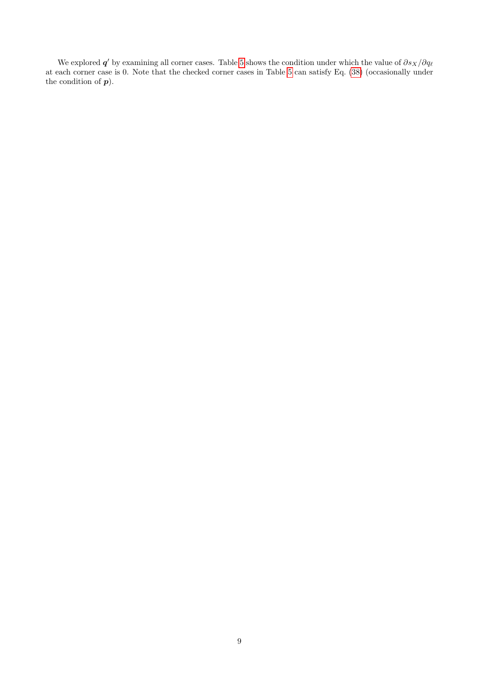We explored  $q'$  by examining all corner cases. Table [5](#page-9-0) shows the condition under which the value of  $\partial s_X/\partial q_\ell$ at each corner case is 0. Note that the checked corner cases in Table [5](#page-9-0) can satisfy Eq. [\(38\)](#page-7-3) (occasionally under the condition of  $p$ ).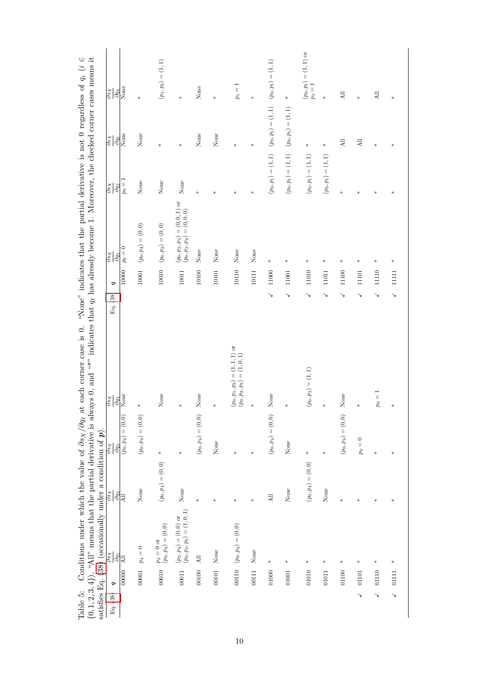<span id="page-9-0"></span>

| satisfies Eq. $(38)$ (occasionally under a condition of $p$ ). |         |                                                       |                                             |                                             |                                                                   |                         |                                                        |                                                     |                                                                   |                                                |
|----------------------------------------------------------------|---------|-------------------------------------------------------|---------------------------------------------|---------------------------------------------|-------------------------------------------------------------------|-------------------------|--------------------------------------------------------|-----------------------------------------------------|-------------------------------------------------------------------|------------------------------------------------|
| Eq. (38)                                                       | P       | $\gamma s \rho$<br>$\partial q_1$                     | $\overline{\partial s_X}$<br>$\partial q_2$ | $\overline{\partial^s_X}$<br>$\partial q_3$ | $\frac{S}{S}Q$<br>$\partial q_4$                                  | P<br>Eq. (38)           | $\overline{\partial s_X}$<br>$\partial q_1$            | $\frac{\partial s_X}{\partial s}$<br>$\partial q_2$ | $s_{\mathcal{S}}$<br>$\partial q_3$                               | $rac{\rho s_X}{\sqrt{2\pi}}$<br>$\partial q_4$ |
|                                                                | 00000   | $\Xi$                                                 | $\overline{A}$                              | $(p_0, p_4) = (0, 0)$                       | None                                                              | 10000                   | $p_0=0$                                                | $p_0=1$                                             | None                                                              | None                                           |
|                                                                | 00001   | $p_4=0$                                               | None                                        | $(p_0, p_4) = (0, 0)$                       |                                                                   | $10001$                 | $(p_0, p_4) = (0, 0)$                                  | None                                                | None                                                              | ₩                                              |
|                                                                | 00010   | $p_2=0\mbox{ or }\\ (p_0,p_4)=(0,0)$                  | $(p_0, p_4) = (0, 0)$                       | $\star$                                     | None                                                              | $10010\,$               | $(p_0,p_2)=(0,0)$                                      | None                                                | $\ast$                                                            | $(p_1, p_3) = (1, 1)$                          |
|                                                                | $00011$ | $(p_2,p_4)=(0,0) \mbox{ or }$ $(p_0,p_2,p_3)=(1,0,1)$ | None                                        |                                             |                                                                   | 10011                   | $(p_0,p_2,p_3) = (0,0,1)$ or $(p_0,p_2,p_4) = (0,0,0)$ | None                                                | ₩                                                                 | ₩                                              |
|                                                                | 00100   | $\Xi$                                                 |                                             | $(p_0, p_4) = (0, 0)$                       | None                                                              | 10100                   | None                                                   | ₩                                                   | None                                                              | None                                           |
|                                                                | 00101   | None                                                  |                                             | None                                        |                                                                   | 10101                   | None                                                   | $\star$                                             | None                                                              | $\star$                                        |
|                                                                | 00110   | $(p_0, p_4) = (0, 0)$                                 |                                             | ÷                                           | $(p_0, p_1, p_3) = (1, 1, 1)$ or<br>$(p_0, p_2, p_3) = (1, 0, 1)$ | 10110                   | None                                                   | ₩                                                   | ₩                                                                 | $\overline{\mathbb{I}}$<br>$p_1$               |
|                                                                | 00111   | None                                                  |                                             |                                             |                                                                   | 10111                   | None                                                   | $\ast$                                              | $\ast$                                                            | ₩                                              |
|                                                                | 01000   |                                                       | $\Xi$                                       | $(p_0, p_4) = (0, 0)$                       | None                                                              | $11000\,$<br>↘          | $\star$                                                |                                                     | $(p_0, p_1) = (1, 1)$ $(p_0, p_1) = (1, 1)$ $(p_0, p_1) = (1, 1)$ |                                                |
|                                                                | 01001   |                                                       | None                                        | None                                        |                                                                   | 11001<br>↘              | ₩                                                      | $(p_0, p_1) = (1, 1)$ $(p_0, p_1) = (1, 1)$         |                                                                   | $\frac{M}{N}$                                  |
|                                                                | 01010   | ₩                                                     | $(p_0, p_4) = (0, 0)$                       | $\ast$                                      | $(p_0, p_3) = (1, 1)$                                             | 11010<br>↘              | ₩                                                      | $(p_0,p_1)=(1,1)$                                   | $\ast$                                                            | $(p_0,p_1)=(1,1)$ or<br>$p_3=1$                |
|                                                                | 01011   |                                                       | None                                        | $\star$                                     |                                                                   | 11011<br>↘              | ∗                                                      | $\left( p_{0},p_{1}\right) =\left( 1,1\right)$      | $\ast$                                                            | $\ast$                                         |
|                                                                | 01100   |                                                       |                                             | $(p_0, p_4) = (0, 0)$                       | None                                                              | 11100<br>↘              | ₩                                                      | ₩                                                   | $\overline{AB}$                                                   | $\overline{a}$                                 |
| ↘                                                              | 01101   |                                                       |                                             | $p_0 = 0$                                   |                                                                   | 11101<br>↘              | ₩                                                      | ₩                                                   | $\overline{AB}$                                                   | ₩                                              |
| ↘                                                              | 01110   |                                                       |                                             |                                             | $\overline{\mathbb{I}}$<br>g                                      | 11110<br>$\checkmark$   | ₩                                                      | ₩                                                   | ₩                                                                 | $\Xi$                                          |
| $\checkmark$                                                   | 01111   |                                                       |                                             |                                             |                                                                   | $11111$<br>$\checkmark$ | $\ast$                                                 |                                                     | $\star$                                                           | $\ast$                                         |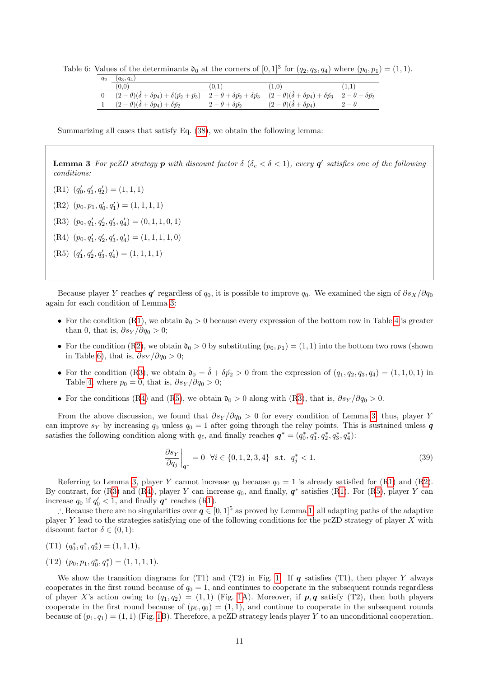Table 6: Values of the determinants  $\mathfrak{d}_0$  at the corners of  $[0,1]^3$  for  $(q_2, q_3, q_4)$  where  $(p_0, p_1) = (1,1)$ .

<span id="page-10-3"></span>

| $q_2$ | $(q_3, q_4)$                                                      |                                              |                                                                                    |           |
|-------|-------------------------------------------------------------------|----------------------------------------------|------------------------------------------------------------------------------------|-----------|
|       | (0.0)                                                             | 0.1                                          | 1.0                                                                                |           |
|       | $(2-\theta)(\hat{\delta}+\delta p_4)+\delta(\hat{p_2}+\hat{p_3})$ | $2-\theta+\delta \hat{p_2}+\delta \hat{p_3}$ | $(2-\theta)(\hat{\delta}+\delta p_4)+\delta \hat{p_3}$ $2-\theta+\delta \hat{p_3}$ |           |
|       | $(2 - \theta)(\hat{\delta} + \delta p_4) + \delta \hat{p_2}$      | $2-\theta+\delta \hat{p_2}$                  | $(2 - \theta)(\hat{\delta} + \delta p_4)$                                          | $-\theta$ |

Summarizing all cases that satisfy Eq. [\(38\)](#page-7-3), we obtain the following lemma:

**Lemma 3** For pcZD strategy  $p$  with discount factor  $\delta$  ( $\delta_c < \delta < 1$ ), every  $q'$  satisfies one of the following conditions:

<span id="page-10-5"></span><span id="page-10-4"></span><span id="page-10-2"></span><span id="page-10-1"></span> $(R1)$   $(q'_0, q'_1, q'_2) = (1, 1, 1)$  $(R2)$   $(p_0, p_1, q'_0, q'_1) = (1, 1, 1, 1)$ (R3)  $(p_0, q'_1, q'_2, q'_3, q'_4) = (0, 1, 1, 0, 1)$  $(R4)$   $(p_0, q'_1, q'_2, q'_3, q'_4) = (1, 1, 1, 1, 0)$ (R5)  $(q'_1, q'_2, q'_3, q'_4) = (1, 1, 1, 1)$ 

<span id="page-10-0"></span>Because player Y reaches  $q'$  regardless of  $q_0$ , it is possible to improve  $q_0$ . We examined the sign of  $\partial s_X/\partial q_0$ again for each condition of Lemma [3:](#page-10-0)

- For the condition ([R1\)](#page-10-1), we obtain  $\mathfrak{d}_0 > 0$  because every expression of the bottom row in Table [4](#page-7-1) is greater than 0, that is,  $\partial s_Y / \partial q_0 > 0$ ;
- For the condition ([R2\)](#page-10-2), we obtain  $\mathfrak{d}_0 > 0$  by substituting  $(p_0, p_1) = (1, 1)$  into the bottom two rows (shown in Table [6\)](#page-10-3), that is,  $\partial s_Y / \partial q_0 > 0$ ;
- For the condition ([R3\)](#page-10-4), we obtain  $\mathfrak{d}_0 = \hat{\delta} + \delta \hat{p}_2 > 0$  from the expression of  $(q_1, q_2, q_3, q_4) = (1, 1, 0, 1)$  in Table [4,](#page-7-1) where  $p_0 = 0$ , that is,  $\partial s_Y / \partial q_0 > 0$ ;
- For the conditions ([R4\)](#page-10-5) and ([R5\)](#page-10-0), we obtain  $\mathfrak{d}_0 > 0$  along with ([R3\)](#page-10-4), that is,  $\partial s_Y / \partial q_0 > 0$ .

From the above discussion, we found that  $\partial s_Y / \partial q_0 > 0$  for every condition of Lemma [3;](#page-10-0) thus, player Y can improve sy by increasing  $q_0$  unless  $q_0 = 1$  after going through the relay points. This is sustained unless q satisfies the following condition along with  $q_\ell$ , and finally reaches  $\boldsymbol{q}^* = (q_0^*, q_1^*, q_2^*, q_3^*, q_4^*)$ :

$$
\left. \frac{\partial s_Y}{\partial q_j} \right|_{\mathbf{q}^*} = 0 \quad \forall i \in \{0, 1, 2, 3, 4\} \quad \text{s.t.} \quad q_j^* < 1. \tag{39}
$$

Referring to Lemma [3,](#page-10-0) player Y cannot increase  $q_0$  because  $q_0 = 1$  is already satisfied for ([R1\)](#page-10-1) and ([R2\)](#page-10-2). By contrast, for ([R3\)](#page-10-4) and ([R4\)](#page-10-5), player Y can increase  $q_0$ , and finally,  $q^*$  satisfies ([R1\)](#page-10-1). For ([R5\)](#page-10-0), player Y can increase  $q_0$  if  $q'_0 < 1$ , and finally  $q^*$  reaches ([R1\)](#page-10-1).

∴ Because there are no singularities over  $q \in [0, 1]^5$  as proved by Lemma [1,](#page-5-5) all adapting paths of the adaptive player Y lead to the strategies satisfying one of the following conditions for the pcZD strategy of player X with discount factor  $\delta \in (0,1)$ :

- (T1)  $(q_0^*, q_1^*, q_2^*) = (1, 1, 1),$
- (T2)  $(p_0, p_1, q_0^*, q_1^*) = (1, 1, 1, 1).$

We show the transition diagrams for (T1) and (T2) in Fig. [1.](#page-11-0) If  $q$  satisfies (T1), then player Y always cooperates in the first round because of  $q_0 = 1$ , and continues to cooperate in the subsequent rounds regardless of player X's action owing to  $(q_1, q_2) = (1, 1)$  (Fig. [1A](#page-11-0)). Moreover, if  $p, q$  satisfy (T2), then both players cooperate in the first round because of  $(p_0, q_0) = (1, 1)$ , and continue to cooperate in the subsequent rounds because of  $(p_1, q_1) = (1, 1)$  (Fig. [1B](#page-11-0)). Therefore, a pcZD strategy leads player Y to an unconditional cooperation.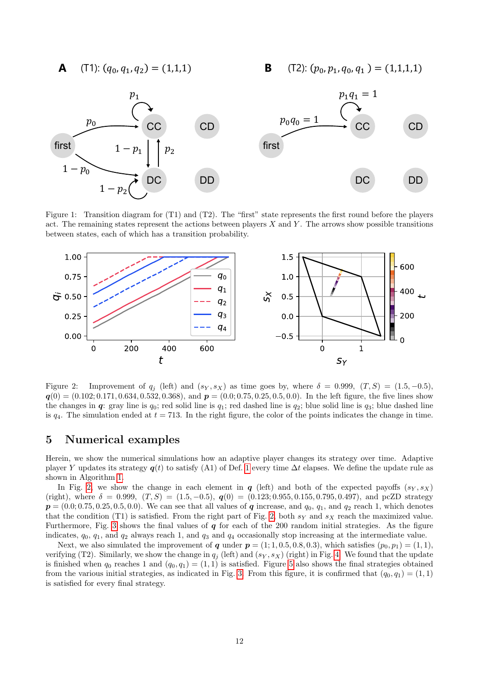$(T1): (q_0, q_1, q_2) = (1,1,1)$ 

**A** (T1):  $(q_0, q_1, q_2) = (1, 1, 1)$  **B** (T2):  $(p_0, p_1, q_0, q_1) = (1, 1, 1, 1)$ 



<span id="page-11-0"></span>Figure 1: Transition diagram for (T1) and (T2). The "first" state represents the first round before the players act. The remaining states represent the actions between players  $X$  and  $Y$ . The arrows show possible transitions between states, each of which has a transition probability.



<span id="page-11-1"></span>Figure 2: Improvement of  $q_j$  (left) and  $(s_Y, s_X)$  as time goes by, where  $\delta = 0.999, (T, S) = (1.5, -0.5)$ ,  $q(0) = (0.102; 0.171, 0.634, 0.532, 0.368),$  and  $p = (0.0; 0.75, 0.25, 0.5, 0.0).$  In the left figure, the five lines show the changes in  $q$ : gray line is  $q_0$ ; red solid line is  $q_1$ ; red dashed line is  $q_2$ ; blue solid line is  $q_3$ ; blue dashed line is  $q_4$ . The simulation ended at  $t = 713$ . In the right figure, the color of the points indicates the change in time.

#### 5 Numerical examples

Herein, we show the numerical simulations how an adaptive player changes its strategy over time. Adaptive player Y updates its strategy  $q(t)$  to satisfy (A1) of Def. [1](#page-3-8) every time  $\Delta t$  elapses. We define the update rule as shown in Algorithm [1.](#page-12-0)

In Fig. [2,](#page-11-1) we show the change in each element in q (left) and both of the expected payoffs  $(s_Y, s_X)$ (right), where  $\delta = 0.999$ ,  $(T, S) = (1.5, -0.5)$ ,  $q(0) = (0.123; 0.955, 0.155, 0.795, 0.497)$ , and pcZD strategy  $p = (0.0; 0.75, 0.25, 0.5, 0.0)$ . We can see that all values of q increase, and  $q_0, q_1$ , and  $q_2$  reach 1, which denotes that the condition (T1) is satisfied. From the right part of Fig. [2,](#page-11-1) both  $s_Y$  and  $s_X$  reach the maximized value. Furthermore, Fig. [3](#page-12-1) shows the final values of  $q$  for each of the 200 random initial strategies. As the figure indicates,  $q_0$ ,  $q_1$ , and  $q_2$  always reach 1, and  $q_3$  and  $q_4$  occasionally stop increasing at the intermediate value.

Next, we also simulated the improvement of q under  $p = (1, 1, 0.5, 0.8, 0.3)$ , which satisfies  $(p_0, p_1) = (1, 1)$ , verifying (T2). Similarly, we show the change in  $q_i$  (left) and  $(s_Y, s_X)$  (right) in Fig. [4.](#page-13-0) We found that the update is finished when  $q_0$  reaches 1 and  $(q_0, q_1) = (1, 1)$  is satisfied. Figure [5](#page-13-1) also shows the final strategies obtained from the various initial strategies, as indicated in Fig. [3.](#page-12-1) From this figure, it is confirmed that  $(q_0, q_1) = (1, 1)$ is satisfied for every final strategy.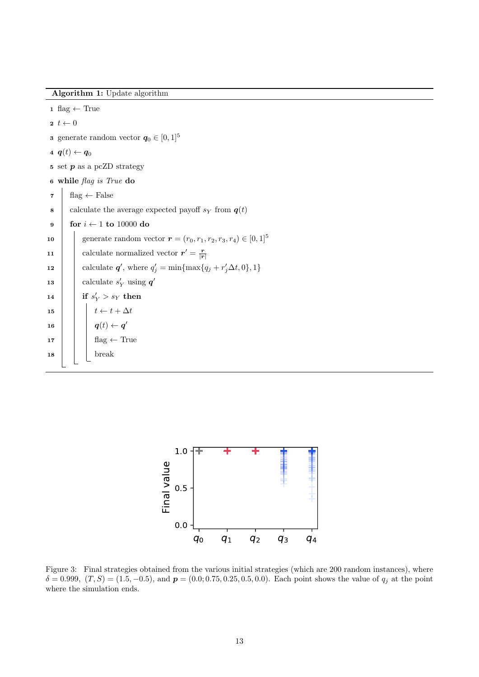Algorithm 1: Update algorithm

```
1 flag \leftarrow True
 2 \t t \leftarrow 03 generate random vector q_0 \in [0, 1]^54 \boldsymbol{q}(t) \leftarrow \boldsymbol{q}_0\mathfrak s set p as a pcZD strategy
 6 while flag is True do
 \mathbf{z} flag \leftarrow False
 8 calculate the average expected payoff s_Y from q(t)9 for i \leftarrow 1 to 10000 do
10 generate random vector r = (r_0, r_1, r_2, r_3, r_4) \in [0, 1]^511 | calculate normalized vector r' = \frac{r}{|r|}12 calculate \boldsymbol{q}', where q'_j = \min\{\max\{q_j + r'_j\Delta t, 0\}, 1\}13 | calculate s'_Y using q'\begin{array}{|c|c|c|}\hline \text{14} & \text{if } s'_Y > s_Y \text{ then} \end{array}15 \begin{array}{|c|c|c|c|c|}\n\hline\n15 & t \leftarrow t + \Delta t\n\end{array}\begin{array}{|c|c|c|c|}\hline \ \textbf{16} & & \end{array} \begin{array}{|c|c|c|c|}\hline \ \textbf{q}(t) \leftarrow \textbf{q}' \end{array}17 | | flag \leftarrow True
18 | | break
```
<span id="page-12-0"></span>

<span id="page-12-1"></span>Figure 3: Final strategies obtained from the various initial strategies (which are 200 random instances), where  $\delta = 0.999, (T, S) = (1.5, -0.5), \text{ and } \boldsymbol{p} = (0.0, 0.75, 0.25, 0.5, 0.0).$  Each point shows the value of  $q_j$  at the point where the simulation ends.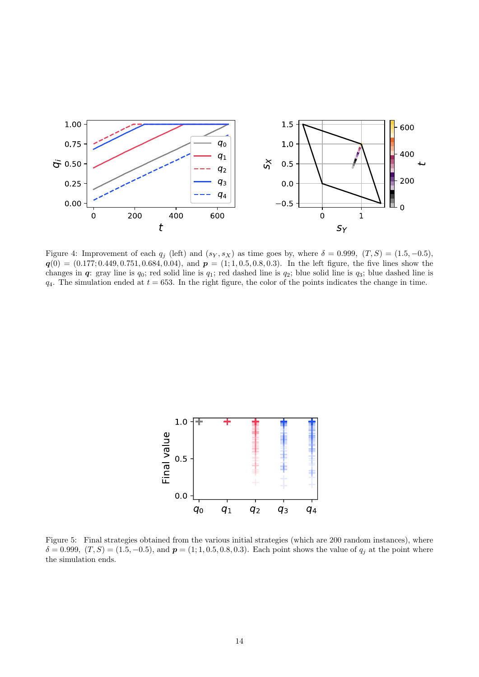

<span id="page-13-0"></span>Figure 4: Improvement of each  $q_i$  (left) and  $(s_Y, s_X)$  as time goes by, where  $\delta = 0.999, (T, S) = (1.5, -0.5)$ ,  $q(0) = (0.177; 0.449, 0.751, 0.684, 0.04),$  and  $p = (1; 1, 0.5, 0.8, 0.3).$  In the left figure, the five lines show the changes in  $q$ : gray line is  $q_0$ ; red solid line is  $q_1$ ; red dashed line is  $q_2$ ; blue solid line is  $q_3$ ; blue dashed line is  $q_4$ . The simulation ended at  $t = 653$ . In the right figure, the color of the points indicates the change in time.



<span id="page-13-1"></span>Figure 5: Final strategies obtained from the various initial strategies (which are 200 random instances), where  $\delta = 0.999, (T, S) = (1.5, -0.5), \text{ and } p = (1, 1, 0.5, 0.8, 0.3).$  Each point shows the value of  $q_j$  at the point where the simulation ends.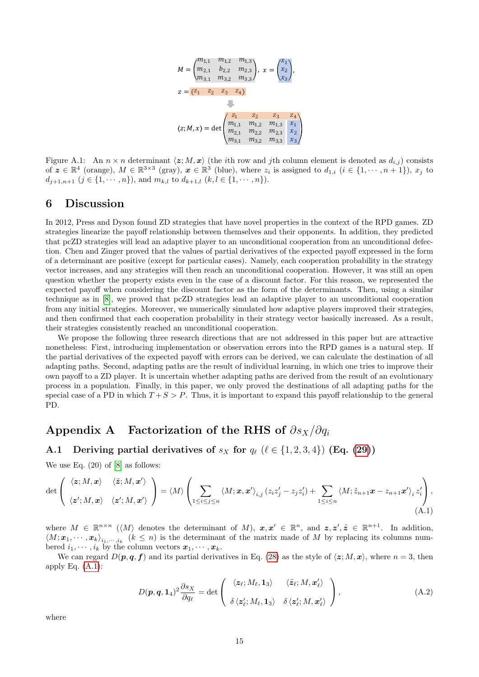

Figure A.1: An  $n \times n$  determinant  $\langle z; M, x \rangle$  (the *i*th row and *j*th column element is denoted as  $d_{i,j}$ ) consists of  $\boldsymbol{z} \in \mathbb{R}^4$  (orange),  $M \in \mathbb{R}^{3 \times 3}$  (gray),  $\boldsymbol{x} \in \mathbb{R}^3$  (blue), where  $z_i$  is assigned to  $d_{1,i}$   $(i \in \{1, \cdots, n+1\})$ ,  $x_j$  to  $d_{j+1,n+1}$   $(j \in \{1, \dots, n\})$ , and  $m_{k,l}$  to  $d_{k+1,l}$   $(k, l \in \{1, \dots, n\})$ .

### 6 Discussion

In 2012, Press and Dyson found ZD strategies that have novel properties in the context of the RPD games. ZD strategies linearize the payoff relationship between themselves and their opponents. In addition, they predicted that pcZD strategies will lead an adaptive player to an unconditional cooperation from an unconditional defection. Chen and Zinger proved that the values of partial derivatives of the expected payoff expressed in the form of a determinant are positive (except for particular cases). Namely, each cooperation probability in the strategy vector increases, and any strategies will then reach an unconditional cooperation. However, it was still an open question whether the property exists even in the case of a discount factor. For this reason, we represented the expected payoff when considering the discount factor as the form of the determinants. Then, using a similar technique as in [\[8\]](#page-21-5), we proved that pcZD strategies lead an adaptive player to an unconditional cooperation from any initial strategies. Moreover, we numerically simulated how adaptive players improved their strategies, and then confirmed that each cooperation probability in their strategy vector basically increased. As a result, their strategies consistently reached an unconditional cooperation.

We propose the following three research directions that are not addressed in this paper but are attractive nonetheless: First, introducing implementation or observation errors into the RPD games is a natural step. If the partial derivatives of the expected payoff with errors can be derived, we can calculate the destination of all adapting paths. Second, adapting paths are the result of individual learning, in which one tries to improve their own payoff to a ZD player. It is uncertain whether adapting paths are derived from the result of an evolutionary process in a population. Finally, in this paper, we only proved the destinations of all adapting paths for the special case of a PD in which  $T + S > P$ . Thus, it is important to expand this payoff relationship to the general PD.

# <span id="page-14-0"></span>Appendix A Factorization of the RHS of  $\partial s_X/\partial q_i$

### A.1 Deriving partial derivatives of  $s_X$  for  $q_\ell$  ( $\ell \in \{1, 2, 3, 4\}$ ) (Eq. [\(29\)](#page-4-1))

We use Eq.  $(20)$  of  $[8]$  as follows:

$$
\det\left(\begin{array}{cc} \langle z;M,\mathbf{x}\rangle & \langle \tilde{z};M,\mathbf{x}'\rangle \\ \langle z';M,\mathbf{x}\rangle & \langle z';M,\mathbf{x}'\rangle \end{array}\right) = \langle M\rangle \left(\sum_{1\leq i\leq j\leq n} \langle M;\mathbf{x},\mathbf{x}'\rangle_{i,j} (z_iz'_j - z_jz'_i) + \sum_{1\leq i\leq n} \langle M;\tilde{z}_{n+1}\mathbf{x}-z_{n+1}\mathbf{x}'\rangle_i z'_i\right),\tag{A.1}
$$

where  $M \in \mathbb{R}^{n \times n}$  ( $\langle M \rangle$  denotes the determinant of M),  $x, x' \in \mathbb{R}^n$ , and  $z, z', \tilde{z} \in \mathbb{R}^{n+1}$ . In addition,  $\langle M; x_1, \cdots, x_k \rangle_{i_1,\cdots,i_k}$   $(k \leq n)$  is the determinant of the matrix made of M by replacing its columns numbered  $i_1, \dots, i_k$  by the column vectors  $x_1, \dots, x_k$ .

We can regard  $D(p, q, f)$  and its partial derivatives in Eq. [\(28\)](#page-4-0) as the style of  $\langle z; M, x \rangle$ , where  $n = 3$ , then apply Eq.  $(A.1)$ :

<span id="page-14-2"></span><span id="page-14-1"></span>
$$
D(\mathbf{p}, \mathbf{q}, \mathbf{1}_4)^2 \frac{\partial s_X}{\partial q_\ell} = \det \left( \begin{array}{cc} \langle \mathbf{z}_\ell; M_\ell, \mathbf{1}_3 \rangle & \langle \tilde{\mathbf{z}}_\ell; M, \mathbf{x}'_\ell \rangle \\ \delta \langle \mathbf{z}'_\ell; M_\ell, \mathbf{1}_3 \rangle & \delta \langle \mathbf{z}'_\ell; M, \mathbf{x}'_\ell \rangle \end{array} \right), \tag{A.2}
$$

where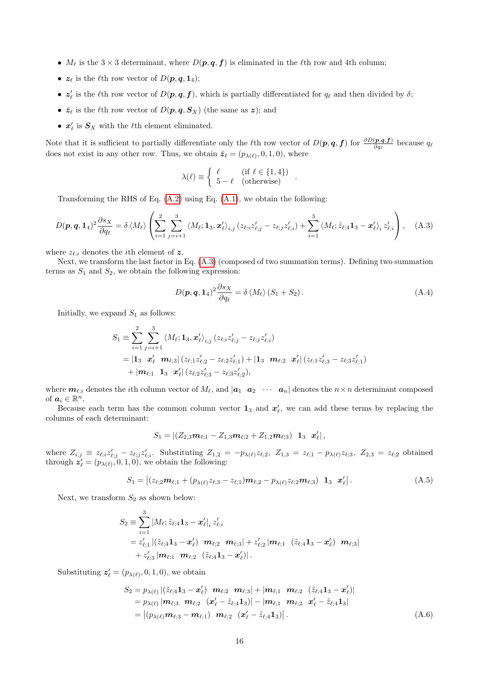- $M_{\ell}$  is the 3 × 3 determinant, where  $D(p, q, f)$  is eliminated in the  $\ell$ th row and 4th column;
- $z_{\ell}$  is the  $\ell$ th row vector of  $D(p, q, 1_4);$
- $z'_\ell$  is the  $\ell$ th row vector of  $D(p, q, f)$ , which is partially differentiated for  $q_\ell$  and then divided by  $\delta$ ;
- $\tilde{\mathbf{z}}_{\ell}$  is the  $\ell$ th row vector of  $D(\mathbf{p}, \mathbf{q}, \mathbf{S}_X)$  (the same as  $\mathbf{z}$ ); and
- $x'_{\ell}$  is  $S_X$  with the  $\ell$ th element eliminated.

Note that it is sufficient to partially differentiate only the  $\ell$ th row vector of  $D(p,q,f)$  for  $\frac{\partial D(p,q,f)}{\partial q_{\ell}}$  because  $q_{\ell}$ does not exist in any other row. Thus, we obtain  $\tilde{\mathbf{z}}_{\ell} = (p_{\lambda(\ell)}, 0, 1, 0)$ , where

<span id="page-15-0"></span>
$$
\lambda(\ell) \equiv \begin{cases} \ell & (\text{if } \ell \in \{1, 4\}) \\ 5 - \ell & (\text{otherwise}) \end{cases} .
$$

Transforming the RHS of Eq. [\(A.2\)](#page-14-2) using Eq. [\(A.1\)](#page-14-1), we obtain the following:

$$
D(\boldsymbol{p}, \boldsymbol{q}, \mathbf{1}_4)^2 \frac{\partial s_X}{\partial q_\ell} = \delta \langle M_\ell \rangle \left( \sum_{i=1}^2 \sum_{j=i+1}^3 \langle M_\ell; \mathbf{1}_3, \boldsymbol{x}'_\ell \rangle_{i,j} (z_{\ell;i} z'_{\ell;j} - z_{\ell;j} z'_{\ell;i}) + \sum_{i=1}^3 \langle M_\ell; \tilde{z}_{\ell;i} \mathbf{1}_3 - \boldsymbol{x}'_\ell \rangle_i z'_{\ell;i} \right), \quad (A.3)
$$

where  $z_{\ell,i}$  denotes the *i*th element of z.

Next, we transform the last factor in Eq. [\(A.3\)](#page-15-0) (composed of two summation terms). Defining two summation terms as  $S_1$  and  $S_2$ , we obtain the following expression:

<span id="page-15-3"></span>
$$
D(\mathbf{p}, \mathbf{q}, \mathbf{1}_4)^2 \frac{\partial s_X}{\partial q_\ell} = \delta \langle M_\ell \rangle (S_1 + S_2).
$$
 (A.4)

Initially, we expand  $S_1$  as follows:

$$
S_1 \equiv \sum_{i=1}^2 \sum_{j=i+1}^3 \langle M_{\ell}; \mathbf{1}_3, \mathbf{x}'_{\ell} \rangle_{i,j} (z_{\ell;i} z'_{\ell;j} - z_{\ell;j} z'_{\ell;i})
$$
  
=  $|\mathbf{1}_3 \mathbf{x}'_{\ell} \mathbf{m}_{\ell;3}| (z_{\ell;1} z'_{\ell;2} - z_{\ell;2} z'_{\ell;1}) + |\mathbf{1}_3 \mathbf{m}_{\ell;2} \mathbf{x}'_{\ell}| (z_{\ell;1} z'_{\ell;3} - z_{\ell;3} z'_{\ell;1})$   
+  $|\mathbf{m}_{\ell;1} \mathbf{1}_3 \mathbf{x}'_{\ell}| (z_{\ell;2} z'_{\ell;3} - z_{\ell;3} z'_{\ell;2}),$ 

where  $m_{\ell,i}$  denotes the *i*th column vector of  $M_\ell$ , and  $|a_1 \, a_2 \, \cdots \, a_n|$  denotes the  $n \times n$  determinant composed of  $a_i \in \mathbb{R}^n$ .

Because each term has the common column vector  $\mathbf{1}_3$  and  $\mathbf{x}'_\ell$ , we can add these terms by replacing the columns of each determinant:

<span id="page-15-1"></span>
$$
S_1=\left| (Z_{2,3}\bm{m}_{\ell;1}-Z_{1,3}\bm{m}_{\ell;2}+Z_{1,2}\bm{m}_{\ell;3})\right|\bm{1}_3\!\!-\!\bm{x}'_\ell\right|,
$$

where  $Z_{i,j} \equiv z_{\ell;i} z'_{\ell;j} - z_{\ell;j} z'_{\ell;i}$ . Substituting  $Z_{1,2} = -p_{\lambda(\ell)} z_{\ell;2}$ ,  $Z_{1,3} = z_{\ell;1} - p_{\lambda(\ell)} z_{\ell;3}$ ,  $Z_{2,3} = z_{\ell;2}$  obtained through  $\mathbf{z}'_l = (p_{\lambda(l)}, 0, 1, 0)$ , we obtain the following:

$$
S_1 = |(z_{\ell;2} \mathbf{m}_{\ell;1} + (p_{\lambda(\ell)} z_{\ell;3} - z_{\ell;1}) \mathbf{m}_{\ell;2} - p_{\lambda(\ell)} z_{\ell;2} \mathbf{m}_{\ell;3}) \mathbf{1}_3 \mathbf{x}'_{\ell}|. \tag{A.5}
$$

Next, we transform  $S_2$  as shown below:

$$
S_2 \equiv \sum_{i=1}^3 |M_{\ell}; \tilde{z}_{\ell;4} \mathbf{1}_3 - \mathbf{x}'_{\ell}|_i z'_{\ell;i}
$$
  
=  $z'_{\ell;1} |(\tilde{z}_{\ell;4} \mathbf{1}_3 - \mathbf{x}'_{\ell}) \mathbf{m}_{\ell;2} \mathbf{m}_{\ell;3}| + z'_{\ell;2} |\mathbf{m}_{\ell;1} (\tilde{z}_{\ell;4} \mathbf{1}_3 - \mathbf{x}'_{\ell}) \mathbf{m}_{\ell;3}|$   
+  $z'_{\ell;3} |\mathbf{m}_{\ell;1} \mathbf{m}_{\ell;2} (\tilde{z}_{\ell;4} \mathbf{1}_3 - \mathbf{x}'_{\ell})|.$ 

Substituting  $\mathbf{z}'_{\ell} = (p_{\lambda(\ell)}, 0, 1, 0)$ , we obtain

<span id="page-15-2"></span>
$$
S_2 = p_{\lambda(\ell)} |(\tilde{z}_{\ell;4} \mathbf{1}_3 - \mathbf{x}'_{\ell}) \mathbf{m}_{\ell;2} \mathbf{m}_{\ell;3}| + |\mathbf{m}_{\ell;1} \mathbf{m}_{\ell;2} (\tilde{z}_{\ell;4} \mathbf{1}_3 - \mathbf{x}'_{\ell})|
$$
  
\n=  $p_{\lambda(\ell)} |\mathbf{m}_{\ell;3} \mathbf{m}_{\ell;2} (\mathbf{x}'_{\ell} - \tilde{z}_{\ell;4} \mathbf{1}_3)| - |\mathbf{m}_{\ell;1} \mathbf{m}_{\ell;2} \mathbf{x}'_{\ell} - \tilde{z}_{\ell;4} \mathbf{1}_3|$   
\n=  $|(p_{\lambda(\ell)} \mathbf{m}_{\ell;3} - \mathbf{m}_{\ell;1}) \mathbf{m}_{\ell;2} (\mathbf{x}'_{\ell} - \tilde{z}_{\ell;4} \mathbf{1}_3)|.$  (A.6)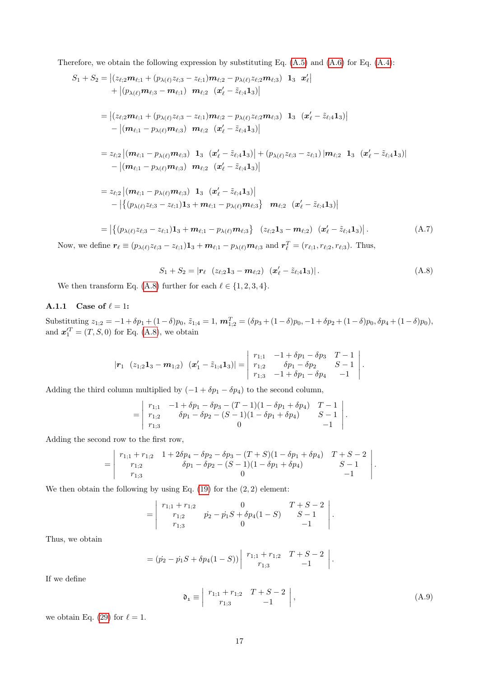Therefore, we obtain the following expression by substituting Eq.  $(A.5)$  and  $(A.6)$  for Eq.  $(A.4)$ :

$$
S_{1} + S_{2} = |(z_{\ell;2}m_{\ell;1} + (p_{\lambda(\ell)}z_{\ell;3} - z_{\ell;1})m_{\ell;2} - p_{\lambda(\ell)}z_{\ell;2}m_{\ell;3}) \mathbf{1}_{3} \mathbf{x}'_{\ell}|+ |(p_{\lambda(\ell)}m_{\ell;3} - m_{\ell;1}) \mathbf{m}_{\ell;2} (\mathbf{x}'_{\ell} - \tilde{z}_{\ell;4} \mathbf{1}_{3})|= |(z_{\ell;2}m_{\ell;1} + (p_{\lambda(\ell)}z_{\ell;3} - z_{\ell;1})m_{\ell;2} - p_{\lambda(\ell)}z_{\ell;2}m_{\ell;3}) \mathbf{1}_{3} (\mathbf{x}'_{\ell} - \tilde{z}_{\ell;4} \mathbf{1}_{3})|- |(m_{\ell;1} - p_{\lambda(\ell)}m_{\ell;3}) \mathbf{m}_{\ell;2} (\mathbf{x}'_{\ell} - \tilde{z}_{\ell;4} \mathbf{1}_{3})|= z_{\ell;2} |(m_{\ell;1} - p_{\lambda(\ell)}m_{\ell;3}) \mathbf{1}_{3} (\mathbf{x}'_{\ell} - \tilde{z}_{\ell;4} \mathbf{1}_{3})| + (p_{\lambda(\ell)}z_{\ell;3} - z_{\ell;1}) |m_{\ell;2} \mathbf{1}_{3} (\mathbf{x}'_{\ell} - \tilde{z}_{\ell;4} \mathbf{1}_{3})|- |(m_{\ell;1} - p_{\lambda(\ell)}m_{\ell;3}) \mathbf{m}_{\ell;2} (\mathbf{x}'_{\ell} - \tilde{z}_{\ell;4} \mathbf{1}_{3})|= z_{\ell;2} |(m_{\ell;1} - p_{\lambda(\ell)}m_{\ell;3}) \mathbf{1}_{3} (\mathbf{x}'_{\ell} - \tilde{z}_{\ell;4} \mathbf{1}_{3})|- |{(p_{\lambda(\ell)}z_{\ell;3} - z_{\ell;1})1_{3} + m_{\ell;1} - p_{\lambda(\ell)}m_{\ell;3}} \mathbf{m}_{\ell;2} (\mathbf{x}'_{\ell} - \tilde{z}_{\ell;4} \mathbf{1}_{3})|= |{(p_{\lambda(\ell)}z_{\ell;3} - z_{\ell;1})1_{3} + m_{\ell;1} -
$$

Now, we define  $r_\ell \equiv (p_{\lambda(\ell)}z_{\ell;3} - z_{\ell;1})\mathbf{1}_3 + \mathbf{m}_{\ell;1} - p_{\lambda(\ell)}\mathbf{m}_{\ell;3}$  and  $\mathbf{r}_\ell^T = (r_{\ell;1}, r_{\ell;2}, r_{\ell;3})$ . Thus,

<span id="page-16-0"></span>
$$
S_1 + S_2 = |\mathbf{r}_{\ell} \ (z_{\ell;2} \mathbf{1}_3 - \mathbf{m}_{\ell;2}) \ (\mathbf{x}'_{\ell} - \tilde{z}_{\ell;4} \mathbf{1}_3)|. \tag{A.8}
$$

We then transform Eq. [\(A.8\)](#page-16-0) further for each  $\ell \in \{1, 2, 3, 4\}.$ 

#### A.1.1 Case of  $\ell = 1$ :

 $\text{Substituting } z_{1;2} = -1 + \delta p_1 + (1 - \delta) p_0, \, \tilde{z}_{1;4} = 1, \, \boldsymbol{m}_{1;2}^T = (\delta p_3 + (1 - \delta) p_0, -1 + \delta p_2 + (1 - \delta) p_0, \delta p_4 + (1 - \delta) p_0),$ and  $\mathbf{x}_1^{\prime T} = (T, S, 0)$  for Eq. [\(A.8\)](#page-16-0), we obtain

$$
|\mathbf{r}_1(z_{1;2}\mathbf{1}_3-\mathbf{m}_{1;2}) (x_1'-\tilde{z}_{1;4}\mathbf{1}_3)|=\left|\begin{array}{cc}r_{1;1}&-1+\delta p_1-\delta p_3 & T-1\\r_{1;2}&\delta p_1-\delta p_2 & S-1\\r_{1;3}&-1+\delta p_1-\delta p_4 & -1\end{array}\right|.
$$

Adding the third column multiplied by  $(-1 + \delta p_1 - \delta p_4)$  to the second column,

$$
= \begin{vmatrix} r_{1;1} & -1 + \delta p_1 - \delta p_3 - (T-1)(1 - \delta p_1 + \delta p_4) & T-1 \ r_{1;2} & \delta p_1 - \delta p_2 - (S-1)(1 - \delta p_1 + \delta p_4) & S-1 \ r_{1;3} & 0 & -1 \end{vmatrix}.
$$

Adding the second row to the first row,

$$
= \begin{vmatrix} r_{1,1} + r_{1,2} & 1 + 2\delta p_4 - \delta p_2 - \delta p_3 - (T + S)(1 - \delta p_1 + \delta p_4) & T + S - 2 \\ r_{1,2} & \delta p_1 - \delta p_2 - (S - 1)(1 - \delta p_1 + \delta p_4) & S - 1 \\ r_{1,3} & 0 & -1 \end{vmatrix}.
$$

We then obtain the following by using Eq.  $(19)$  for the  $(2, 2)$  element:

$$
= \begin{vmatrix} r_{1;1} + r_{1;2} & 0 & T + S - 2 \ r_{1;2} & p_2 - p_1 S + \delta p_4 (1 - S) & S - 1 \ r_{1;3} & 0 & -1 \end{vmatrix}.
$$

Thus, we obtain

$$
= (p_2 - p_1S + \delta p_4(1 - S)) \begin{vmatrix} r_{1,1} + r_{1,2} & T + S - 2 \ r_{1,3} & -1 \end{vmatrix}.
$$

If we define

$$
\mathfrak{d}_1 \equiv \left| \begin{array}{cc} r_{1;1} + r_{1;2} & T + S - 2 \\ r_{1;3} & -1 \end{array} \right|, \tag{A.9}
$$

we obtain Eq. [\(29\)](#page-4-1) for  $\ell = 1$ .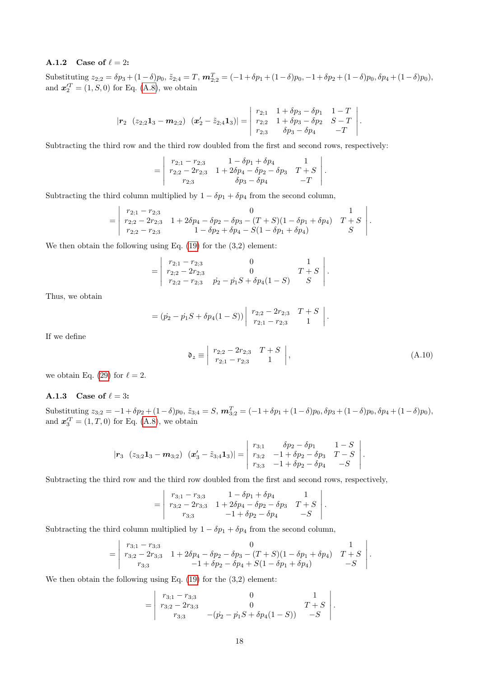#### A.1.2 Case of  $\ell = 2$ :

 $\text{Substituting } z_{2;2} = \delta p_3 + (1-\delta)p_0, \, \tilde{z}_{2;4} = T, \, \boldsymbol{m}_{2;2}^T = (-1+\delta p_1 + (1-\delta)p_0, -1+\delta p_2 + (1-\delta)p_0, \delta p_4 + (1-\delta)p_0),$ and  $x_2^{\prime T} = (1, S, 0)$  for Eq. [\(A.8\)](#page-16-0), we obtain

$$
|\boldsymbol{r}_2 \ (z_{2;2} \mathbf{1}_3 - \boldsymbol{m}_{2;2}) \ (\boldsymbol{x}'_2 - \tilde{z}_{2;4} \mathbf{1}_3)| = \begin{vmatrix} r_{2;1} & 1 + \delta p_3 - \delta p_1 & 1 - T \\ r_{2;2} & 1 + \delta p_3 - \delta p_2 & S - T \\ r_{2;3} & \delta p_3 - \delta p_4 & -T \end{vmatrix}.
$$

Subtracting the third row and the third row doubled from the first and second rows, respectively:

$$
= \begin{vmatrix} r_{2;1} - r_{2;3} & 1 - \delta p_1 + \delta p_4 & 1 \\ r_{2;2} - 2r_{2;3} & 1 + 2\delta p_4 - \delta p_2 - \delta p_3 & T + S \\ r_{2;3} & \delta p_3 - \delta p_4 & -T \end{vmatrix}.
$$

Subtracting the third column multiplied by  $1 - \delta p_1 + \delta p_4$  from the second column,

$$
= \begin{vmatrix} r_{2;1} - r_{2;3} & 0 & 1 \ r_{2;2} - 2r_{2;3} & 1 + 2\delta p_4 - \delta p_2 - \delta p_3 - (T + S)(1 - \delta p_1 + \delta p_4) & T + S \ r_{2;2} - r_{2;3} & 1 - \delta p_2 + \delta p_4 - S(1 - \delta p_1 + \delta p_4) & S \end{vmatrix}.
$$

We then obtain the following using Eq. [\(19\)](#page-3-9) for the (3,2) element:

$$
= \begin{vmatrix} r_{2,1} - r_{2,3} & 0 & 1 \ r_{2,2} - 2r_{2,3} & 0 & T + S \ r_{2,2} - r_{2,3} & p_2 - p_1 S + \delta p_4 (1 - S) & S \end{vmatrix}
$$

Thus, we obtain

$$
= (p_2 - p_1S + \delta p_4(1 - S)) \begin{vmatrix} r_{2,2} - 2r_{2,3} & T + S \\ r_{2,1} - r_{2,3} & 1 \end{vmatrix}.
$$

If we define

$$
\mathfrak{d}_2 \equiv \left| \begin{array}{cc} r_{2;2} - 2r_{2;3} & T + S \\ r_{2;1} - r_{2;3} & 1 \end{array} \right|, \tag{A.10}
$$

.

we obtain Eq. [\(29\)](#page-4-1) for  $\ell = 2$ .

#### A.1.3 Case of  $\ell = 3$ :

 $\text{Substituting } z_{3;2} = -1 + \delta p_2 + (1-\delta)p_0, \, \tilde{z}_{3;4} = S, \, \boldsymbol{m}_{3;2}^T = (-1+\delta p_1 + (1-\delta)p_0, \delta p_3 + (1-\delta)p_0, \delta p_4 + (1-\delta)p_0,$ and  $x_3^{\prime T} = (1, T, 0)$  for Eq. [\(A.8\)](#page-16-0), we obtain

$$
|\mathbf{r}_3 \quad (z_{3;2} \mathbf{1}_3 - \mathbf{m}_{3;2}) \quad (\mathbf{x}_3' - \tilde{z}_{3;4} \mathbf{1}_3)| = \begin{vmatrix} r_{3;1} & \delta p_2 - \delta p_1 & 1 - S \\ r_{3;2} & -1 + \delta p_2 - \delta p_3 & T - S \\ r_{3;3} & -1 + \delta p_2 - \delta p_4 & -S \end{vmatrix}.
$$

Subtracting the third row and the third row doubled from the first and second rows, respectively,

$$
= \begin{vmatrix} r_{3;1} - r_{3;3} & 1 - \delta p_1 + \delta p_4 & 1 \\ r_{3;2} - 2r_{3;3} & 1 + 2\delta p_4 - \delta p_2 - \delta p_3 & T + S \\ r_{3;3} & -1 + \delta p_2 - \delta p_4 & -S \end{vmatrix}.
$$

Subtracting the third column multiplied by  $1 - \delta p_1 + \delta p_4$  from the second column,

$$
= \begin{vmatrix} r_{3;1} - r_{3;3} & 0 & 1 \ r_{3;2} - 2r_{3;3} & 1 + 2\delta p_4 - \delta p_2 - \delta p_3 - (T + S)(1 - \delta p_1 + \delta p_4) & T + S \ r_{3;3} & -1 + \delta p_2 - \delta p_4 + S(1 - \delta p_1 + \delta p_4) & -S \end{vmatrix}.
$$

We then obtain the following using Eq. [\(19\)](#page-3-9) for the (3,2) element:

$$
= \begin{vmatrix} r_{3;1} - r_{3;3} & 0 & 1 \ r_{3;2} - 2r_{3;3} & 0 & T + S \ r_{3;3} & -(p_2 - p_1S + \delta p_4(1-S)) & -S \end{vmatrix}.
$$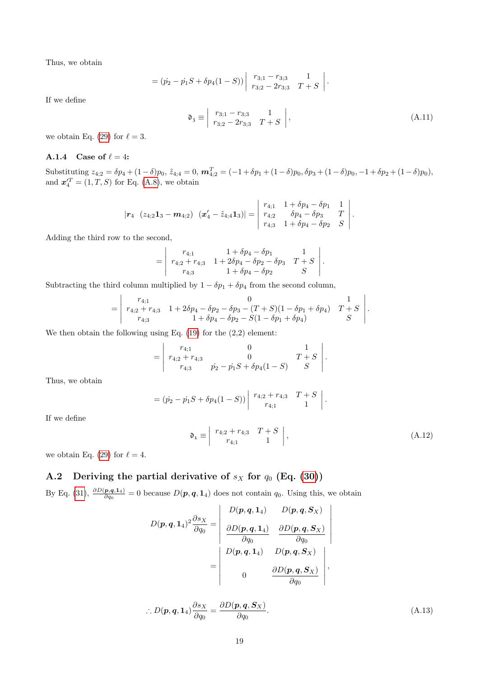Thus, we obtain

$$
= (p_2 - p_1S + \delta p_4(1 - S)) \begin{vmatrix} r_{3;1} - r_{3;3} & 1\\ r_{3;2} - 2r_{3;3} & T + S \end{vmatrix}
$$

If we define

$$
\mathfrak{d}_3 \equiv \left| \begin{array}{cc} r_{3;1} - r_{3;3} & 1 \\ r_{3;2} - 2r_{3;3} & T + S \end{array} \right|, \tag{A.11}
$$

.

we obtain Eq. [\(29\)](#page-4-1) for  $\ell = 3$ .

#### A.1.4 Case of  $\ell = 4$ :

 $\text{Substituting } z_{4;2} = \delta p_4 + (1-\delta)p_0, \, \tilde{z}_{4;4} = 0, \, \boldsymbol{m}_{4;2}^T = (-1+\delta p_1 + (1-\delta)p_0, \delta p_3 + (1-\delta)p_0, -1+\delta p_2 + (1-\delta)p_0),$ and  $\mathbf{x}_4^{\prime T} = (1, T, S)$  for Eq. [\(A.8\)](#page-16-0), we obtain

$$
|\boldsymbol{r}_4 \ \ (z_{4;2} \mathbf{1}_3 - \boldsymbol{m}_{4;2}) \ \ (\boldsymbol{x}'_4 - \tilde{z}_{4;4} \mathbf{1}_3)| = \begin{vmatrix} r_{4;1} & 1 + \delta p_4 - \delta p_1 & 1 \\ r_{4;2} & \delta p_4 - \delta p_3 & T \\ r_{4;3} & 1 + \delta p_4 - \delta p_2 & S \end{vmatrix}.
$$

Adding the third row to the second,

$$
= \begin{vmatrix} r_{4;1} & 1 + \delta p_4 - \delta p_1 & 1 \\ r_{4;2} + r_{4;3} & 1 + 2\delta p_4 - \delta p_2 - \delta p_3 & T + S \\ r_{4;3} & 1 + \delta p_4 - \delta p_2 & S \end{vmatrix}.
$$

Subtracting the third column multiplied by  $1 - \delta p_1 + \delta p_4$  from the second column,

$$
= \begin{vmatrix} r_{4;1} & 0 & 1 \ r_{4;2} + r_{4;3} & 1 + 2\delta p_4 - \delta p_2 - \delta p_3 - (T + S)(1 - \delta p_1 + \delta p_4) & T + S \ r_{4;3} & 1 + \delta p_4 - \delta p_2 - S(1 - \delta p_1 + \delta p_4) & S \end{vmatrix}.
$$

We then obtain the following using Eq. [\(19\)](#page-3-9) for the (2,2) element:

$$
= \begin{vmatrix} r_{4;1} & 0 & 1 \ r_{4;2} + r_{4;3} & 0 & T+S \ r_{4;3} & p_2 - p_1S + \delta p_4(1-S) & S \end{vmatrix}.
$$

Thus, we obtain

$$
= (p_2 - p_1S + \delta p_4(1 - S)) \begin{vmatrix} r_{4,2} + r_{4,3} & T + S \\ r_{4,1} & 1 \end{vmatrix}
$$

If we define

$$
\mathfrak{d}_1 \equiv \left| \begin{array}{cc} r_{4;2} + r_{4;3} & T + S \\ r_{4;1} & 1 \end{array} \right|, \tag{A.12}
$$

<span id="page-18-0"></span>.

we obtain Eq. [\(29\)](#page-4-1) for  $\ell = 4$ .

# A.2 Deriving the partial derivative of  $s_X$  for  $q_0$  (Eq. [\(30\)](#page-5-4))

By Eq. [\(31\)](#page-5-0),  $\frac{\partial D(\mathbf{p}, \mathbf{q}, 1_4)}{\partial q_0} = 0$  because  $D(\mathbf{p}, \mathbf{q}, 1_4)$  does not contain  $q_0$ . Using this, we obtain

$$
D(\boldsymbol{p},\boldsymbol{q},\boldsymbol{1}_4)^2 \frac{\partial s_X}{\partial q_0} = \begin{vmatrix} D(\boldsymbol{p},\boldsymbol{q},\boldsymbol{1}_4) & D(\boldsymbol{p},\boldsymbol{q},\boldsymbol{S}_X) \\ \frac{\partial D(\boldsymbol{p},\boldsymbol{q},\boldsymbol{1}_4)}{\partial q_0} & \frac{\partial D(\boldsymbol{p},\boldsymbol{q},\boldsymbol{S}_X)}{\partial q_0} \\ D(\boldsymbol{p},\boldsymbol{q},\boldsymbol{1}_4) & D(\boldsymbol{p},\boldsymbol{q},\boldsymbol{S}_X) \\ 0 & \frac{\partial D(\boldsymbol{p},\boldsymbol{q},\boldsymbol{S}_X)}{\partial q_0} \end{vmatrix},
$$

$$
\therefore D(\mathbf{p}, \mathbf{q}, \mathbf{1}_4) \frac{\partial s_X}{\partial q_0} = \frac{\partial D(\mathbf{p}, \mathbf{q}, \mathbf{S}_X)}{\partial q_0}.
$$
 (A.13)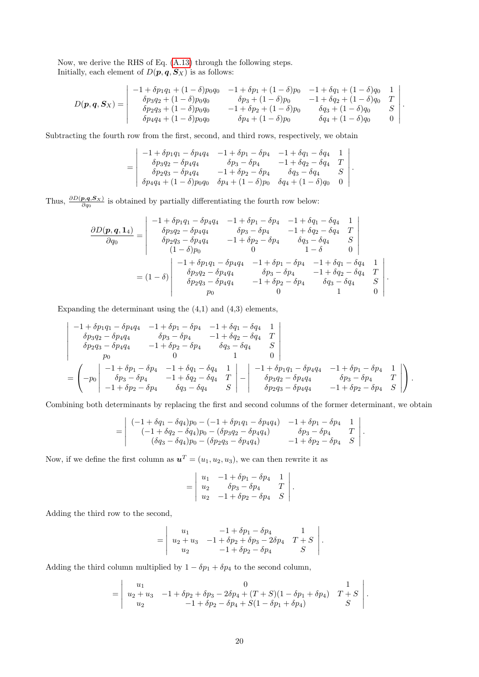Now, we derive the RHS of Eq. [\(A.13\)](#page-18-0) through the following steps. Initially, each element of  $D(p, q, S_X)$  is as follows:

$$
D(\mathbf{p}, \mathbf{q}, \mathbf{S}_X) = \begin{vmatrix} -1 + \delta p_1 q_1 + (1 - \delta) p_0 q_0 & -1 + \delta p_1 + (1 - \delta) p_0 & -1 + \delta q_1 + (1 - \delta) q_0 & 1 \\ \delta p_3 q_2 + (1 - \delta) p_0 q_0 & \delta p_3 + (1 - \delta) p_0 & -1 + \delta q_2 + (1 - \delta) q_0 & T \\ \delta p_2 q_3 + (1 - \delta) p_0 q_0 & -1 + \delta p_2 + (1 - \delta) p_0 & \delta q_3 + (1 - \delta) q_0 & S \\ \delta p_4 q_4 + (1 - \delta) p_0 q_0 & \delta p_4 + (1 - \delta) p_0 & \delta q_4 + (1 - \delta) q_0 & 0 \end{vmatrix}.
$$

Subtracting the fourth row from the first, second, and third rows, respectively, we obtain

$$
= \begin{vmatrix} -1+\delta p_1q_1-\delta p_4q_4 & -1+\delta p_1-\delta p_4 & -1+\delta q_1-\delta q_4 & 1\\ \delta p_3q_2-\delta p_4q_4 & \delta p_3-\delta p_4 & -1+\delta q_2-\delta q_4 & T\\ \delta p_2q_3-\delta p_4q_4 & -1+\delta p_2-\delta p_4 & \delta q_3-\delta q_4 & S\\ \delta p_4q_4+(1-\delta)p_0q_0 & \delta p_4+(1-\delta)p_0 & \delta q_4+(1-\delta)q_0 & 0 \end{vmatrix}.
$$

Thus,  $\frac{\partial D(\mathbf{p}, \mathbf{q}, \mathbf{S}_X)}{\partial q_0}$  is obtained by partially differentiating the fourth row below:

$$
\frac{\partial D(\mathbf{p}, \mathbf{q}, \mathbf{1}_4)}{\partial q_0} = \begin{vmatrix}\n-1 + \delta p_1 q_1 - \delta p_4 q_4 & -1 + \delta p_1 - \delta p_4 & -1 + \delta q_1 - \delta q_4 & 1 \\
\delta p_3 q_2 - \delta p_4 q_4 & \delta p_3 - \delta p_4 & -1 + \delta q_2 - \delta q_4 & T \\
\delta p_2 q_3 - \delta p_4 q_4 & -1 + \delta p_2 - \delta p_4 & \delta q_3 - \delta q_4 & S \\
(1 - \delta) p_0 & 0 & 1 - \delta & 0\n\end{vmatrix}
$$
  
=  $(1 - \delta)$ \n
$$
\begin{vmatrix}\n-1 + \delta p_1 q_1 - \delta p_4 q_4 & -1 + \delta p_1 - \delta p_4 & -1 + \delta q_1 - \delta q_4 & 1 \\
\delta p_3 q_2 - \delta p_4 q_4 & \delta p_3 - \delta p_4 & -1 + \delta q_2 - \delta q_4 & T \\
\delta p_2 q_3 - \delta p_4 q_4 & -1 + \delta p_2 - \delta p_4 & \delta q_3 - \delta q_4 & S \\
p_0 & 0 & 1 & 0\n\end{vmatrix}.
$$

Expanding the determinant using the  $(4,1)$  and  $(4,3)$  elements,

$$
\begin{vmatrix}\n-1 + \delta p_1 q_1 - \delta p_4 q_4 & -1 + \delta p_1 - \delta p_4 & -1 + \delta q_1 - \delta q_4 & 1 \\
\delta p_3 q_2 - \delta p_4 q_4 & \delta p_3 - \delta p_4 & -1 + \delta q_2 - \delta q_4 & T \\
\delta p_2 q_3 - \delta p_4 q_4 & -1 + \delta p_2 - \delta p_4 & \delta q_3 - \delta q_4 & S \\
p_0 & 0 & 1 & 0\n\end{vmatrix}
$$
\n
$$
= \begin{pmatrix}\n-1 + \delta p_1 - \delta p_4 & -1 + \delta q_1 - \delta q_4 & 1 \\
\delta p_3 - \delta p_4 & -1 + \delta q_2 - \delta q_4 & T \\
-1 + \delta p_2 - \delta p_4 & \delta q_3 - \delta q_4 & S\n\end{pmatrix} - \begin{vmatrix}\n-1 + \delta p_1 q_1 - \delta p_4 q_4 & -1 + \delta p_1 - \delta p_4 & 1 \\
\delta p_3 q_2 - \delta p_4 q_4 & \delta p_3 - \delta p_4 & T \\
\delta p_2 q_3 - \delta p_4 q_4 & -1 + \delta p_2 - \delta p_4 & S\n\end{vmatrix}.
$$

Combining both determinants by replacing the first and second columns of the former determinant, we obtain

$$
= \begin{vmatrix} (-1+\delta q_1 - \delta q_4)p_0 - (-1+\delta p_1 q_1 - \delta p_4 q_4) & -1+\delta p_1 - \delta p_4 & 1 \\ (-1+\delta q_2 - \delta q_4)p_0 - (\delta p_3 q_2 - \delta p_4 q_4) & \delta p_3 - \delta p_4 & T \\ (\delta q_3 - \delta q_4)p_0 - (\delta p_2 q_3 - \delta p_4 q_4) & -1+\delta p_2 - \delta p_4 & S \end{vmatrix}.
$$

Now, if we define the first column as  $u^T = (u_1, u_2, u_3)$ , we can then rewrite it as

$$
= \begin{vmatrix} u_1 & -1 + \delta p_1 - \delta p_4 & 1 \\ u_2 & \delta p_3 - \delta p_4 & T \\ u_2 & -1 + \delta p_2 - \delta p_4 & S \end{vmatrix}.
$$

Adding the third row to the second,

$$
= \begin{vmatrix} u_1 & -1 + \delta p_1 - \delta p_4 & 1 \\ u_2 + u_3 & -1 + \delta p_2 + \delta p_3 - 2\delta p_4 & T + S \\ u_2 & -1 + \delta p_2 - \delta p_4 & S \end{vmatrix}.
$$

Adding the third column multiplied by  $1 - \delta p_1 + \delta p_4$  to the second column,

$$
= \begin{vmatrix} u_1 & 0 & 1 \ u_2 + u_3 & -1 + \delta p_2 + \delta p_3 - 2\delta p_4 + (T + S)(1 - \delta p_1 + \delta p_4) & T + S \ u_2 & -1 + \delta p_2 - \delta p_4 + S(1 - \delta p_1 + \delta p_4) & S \end{vmatrix}.
$$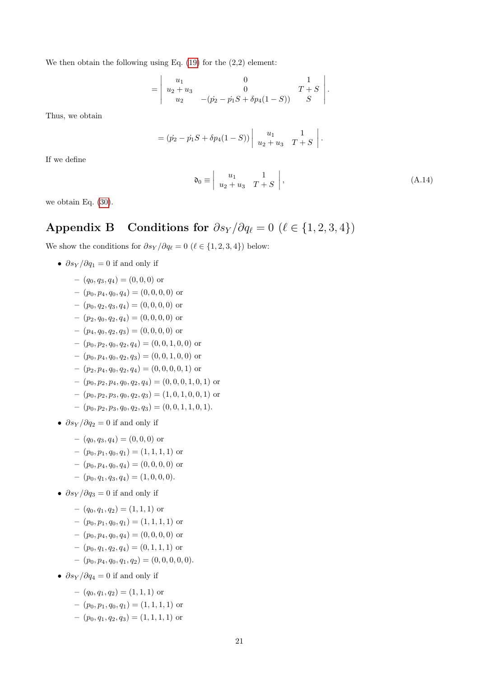We then obtain the following using Eq. [\(19\)](#page-3-9) for the (2,2) element:

$$
= \begin{vmatrix} u_1 & 0 & 1 \ u_2 + u_3 & 0 & T + S \ u_2 & -(p_2 - p_1S + \delta p_4(1 - S)) & S \end{vmatrix}
$$

Thus, we obtain

$$
= (p_2 - p_1S + \delta p_4(1 - S)) \begin{vmatrix} u_1 & 1 \\ u_2 + u_3 & T + S \end{vmatrix}.
$$

If we define

$$
\mathfrak{d}_0 \equiv \left| \begin{array}{cc} u_1 & 1 \\ u_2 + u_3 & T + S \end{array} \right|,\tag{A.14}
$$

.

we obtain Eq. [\(30\)](#page-5-4).

# <span id="page-20-0"></span>Appendix B Conditions for  $\partial s_Y / \partial q_\ell = 0$  ( $\ell \in \{1, 2, 3, 4\}$ )

We show the conditions for  $\partial s_Y / \partial q_\ell = 0$  ( $\ell \in \{1, 2, 3, 4\}$ ) below:

- $\partial s_Y / \partial q_1 = 0$  if and only if
	- $-(q_0, q_3, q_4) = (0, 0, 0)$  or
	- $-(p_0, p_4, q_0, q_4) = (0, 0, 0, 0)$  or
	- $-(p_0, q_2, q_3, q_4) = (0, 0, 0, 0)$  or
	- $-(p_2, q_0, q_2, q_4) = (0, 0, 0, 0)$  or
	- $-(p_4, q_0, q_2, q_3) = (0, 0, 0, 0)$  or
	- $-(p_0, p_2, q_0, q_2, q_4) = (0, 0, 1, 0, 0)$  or
	- $-(p_0, p_4, q_0, q_2, q_3) = (0, 0, 1, 0, 0)$  or
	- $-(p_2, p_4, q_0, q_2, q_4) = (0, 0, 0, 0, 1)$  or
	- $-(p_0, p_2, p_4, q_0, q_2, q_4) = (0, 0, 0, 1, 0, 1)$  or
	- $-(p_0, p_2, p_3, q_0, q_2, q_3) = (1, 0, 1, 0, 0, 1)$  or
	- $(p_0, p_2, p_3, q_0, q_2, q_3) = (0, 0, 1, 1, 0, 1).$
- $\partial s_Y / \partial q_2 = 0$  if and only if
	- $-(q_0, q_3, q_4) = (0, 0, 0)$  or
	- $-(p_0, p_1, q_0, q_1) = (1, 1, 1, 1)$  or
	- $-(p_0, p_4, q_0, q_4) = (0, 0, 0, 0)$  or
	- $(p_0, q_1, q_3, q_4) = (1, 0, 0, 0).$
- $\partial s_Y / \partial q_3 = 0$  if and only if
	- $-(q_0, q_1, q_2) = (1, 1, 1)$  or
	- $-(p_0, p_1, q_0, q_1) = (1, 1, 1, 1)$  or
	- $-(p_0, p_4, q_0, q_4) = (0, 0, 0, 0)$  or
	- $-(p_0, q_1, q_2, q_4) = (0, 1, 1, 1)$  or
	- $(p_0, p_4, q_0, q_1, q_2) = (0, 0, 0, 0, 0).$
- $\partial s_Y / \partial q_4 = 0$  if and only if
	- $-(q_0, q_1, q_2) = (1, 1, 1)$  or
	- $(p_0, p_1, q_0, q_1) = (1, 1, 1, 1)$  or
	- $-(p_0, q_1, q_2, q_3) = (1, 1, 1, 1)$  or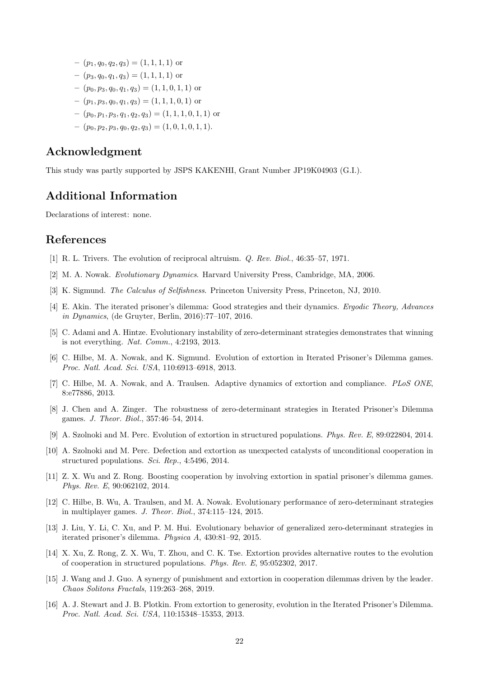- $-(p_1, q_0, q_2, q_3) = (1, 1, 1, 1)$  or
- $-(p_3, q_0, q_1, q_3) = (1, 1, 1, 1)$  or
- $(p_0, p_3, q_0, q_1, q_3) = (1, 1, 0, 1, 1)$  or
- $-(p_1, p_3, q_0, q_1, q_3) = (1, 1, 1, 0, 1)$  or
- $-(p_0, p_1, p_3, q_1, q_2, q_3) = (1, 1, 1, 0, 1, 1)$  or
- $(p_0, p_2, p_3, q_0, q_2, q_3) = (1, 0, 1, 0, 1, 1).$

## Acknowledgment

This study was partly supported by JSPS KAKENHI, Grant Number JP19K04903 (G.I.).

# Additional Information

Declarations of interest: none.

## References

- <span id="page-21-0"></span>[1] R. L. Trivers. The evolution of reciprocal altruism. Q. Rev. Biol., 46:35–57, 1971.
- [2] M. A. Nowak. Evolutionary Dynamics. Harvard University Press, Cambridge, MA, 2006.
- <span id="page-21-1"></span>[3] K. Sigmund. The Calculus of Selfishness. Princeton University Press, Princeton, NJ, 2010.
- <span id="page-21-2"></span>[4] E. Akin. The iterated prisoner's dilemma: Good strategies and their dynamics. Ergodic Theory, Advances in Dynamics, (de Gruyter, Berlin, 2016):77–107, 2016.
- [5] C. Adami and A. Hintze. Evolutionary instability of zero-determinant strategies demonstrates that winning is not everything. Nat. Comm., 4:2193, 2013.
- [6] C. Hilbe, M. A. Nowak, and K. Sigmund. Evolution of extortion in Iterated Prisoner's Dilemma games. Proc. Natl. Acad. Sci. USA, 110:6913–6918, 2013.
- [7] C. Hilbe, M. A. Nowak, and A. Traulsen. Adaptive dynamics of extortion and compliance. PLoS ONE, 8:e77886, 2013.
- <span id="page-21-5"></span>[8] J. Chen and A. Zinger. The robustness of zero-determinant strategies in Iterated Prisoner's Dilemma games. J. Theor. Biol., 357:46–54, 2014.
- [9] A. Szolnoki and M. Perc. Evolution of extortion in structured populations. Phys. Rev. E, 89:022804, 2014.
- [10] A. Szolnoki and M. Perc. Defection and extortion as unexpected catalysts of unconditional cooperation in structured populations. Sci. Rep., 4:5496, 2014.
- [11] Z. X. Wu and Z. Rong. Boosting cooperation by involving extortion in spatial prisoner's dilemma games. Phys. Rev. E, 90:062102, 2014.
- <span id="page-21-3"></span>[12] C. Hilbe, B. Wu, A. Traulsen, and M. A. Nowak. Evolutionary performance of zero-determinant strategies in multiplayer games. J. Theor. Biol., 374:115–124, 2015.
- [13] J. Liu, Y. Li, C. Xu, and P. M. Hui. Evolutionary behavior of generalized zero-determinant strategies in iterated prisoner's dilemma. Physica A, 430:81–92, 2015.
- [14] X. Xu, Z. Rong, Z. X. Wu, T. Zhou, and C. K. Tse. Extortion provides alternative routes to the evolution of cooperation in structured populations. Phys. Rev. E, 95:052302, 2017.
- [15] J. Wang and J. Guo. A synergy of punishment and extortion in cooperation dilemmas driven by the leader. Chaos Solitons Fractals, 119:263–268, 2019.
- <span id="page-21-4"></span>[16] A. J. Stewart and J. B. Plotkin. From extortion to generosity, evolution in the Iterated Prisoner's Dilemma. Proc. Natl. Acad. Sci. USA, 110:15348–15353, 2013.